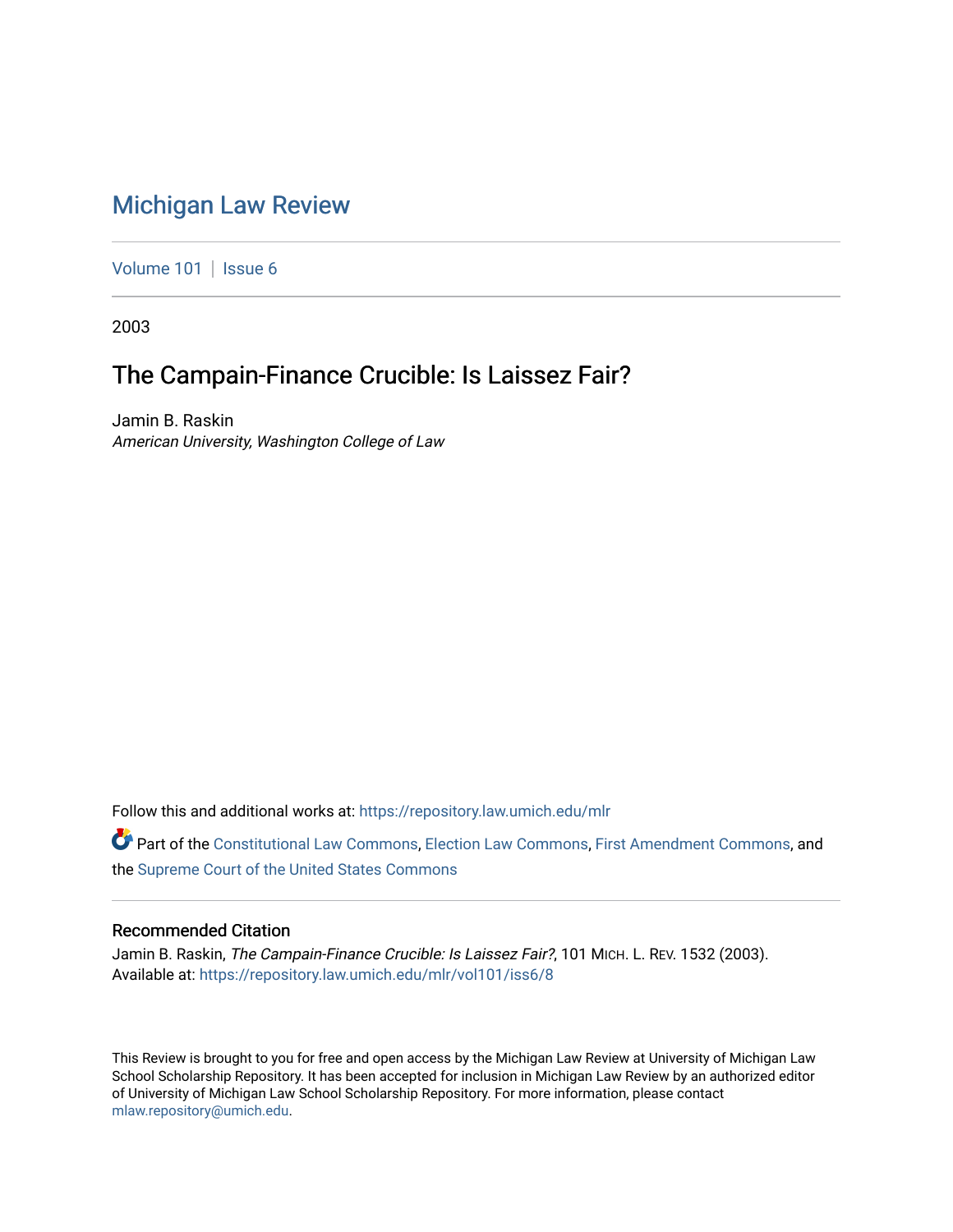## [Michigan Law Review](https://repository.law.umich.edu/mlr)

[Volume 101](https://repository.law.umich.edu/mlr/vol101) | [Issue 6](https://repository.law.umich.edu/mlr/vol101/iss6)

2003

# The Campain-Finance Crucible: Is Laissez Fair?

Jamin B. Raskin American University, Washington College of Law

Follow this and additional works at: [https://repository.law.umich.edu/mlr](https://repository.law.umich.edu/mlr?utm_source=repository.law.umich.edu%2Fmlr%2Fvol101%2Fiss6%2F8&utm_medium=PDF&utm_campaign=PDFCoverPages) 

Part of the [Constitutional Law Commons,](http://network.bepress.com/hgg/discipline/589?utm_source=repository.law.umich.edu%2Fmlr%2Fvol101%2Fiss6%2F8&utm_medium=PDF&utm_campaign=PDFCoverPages) [Election Law Commons](http://network.bepress.com/hgg/discipline/1121?utm_source=repository.law.umich.edu%2Fmlr%2Fvol101%2Fiss6%2F8&utm_medium=PDF&utm_campaign=PDFCoverPages), [First Amendment Commons](http://network.bepress.com/hgg/discipline/1115?utm_source=repository.law.umich.edu%2Fmlr%2Fvol101%2Fiss6%2F8&utm_medium=PDF&utm_campaign=PDFCoverPages), and the [Supreme Court of the United States Commons](http://network.bepress.com/hgg/discipline/1350?utm_source=repository.law.umich.edu%2Fmlr%2Fvol101%2Fiss6%2F8&utm_medium=PDF&utm_campaign=PDFCoverPages)

### Recommended Citation

Jamin B. Raskin, The Campain-Finance Crucible: Is Laissez Fair?, 101 MICH. L. REV. 1532 (2003). Available at: [https://repository.law.umich.edu/mlr/vol101/iss6/8](https://repository.law.umich.edu/mlr/vol101/iss6/8?utm_source=repository.law.umich.edu%2Fmlr%2Fvol101%2Fiss6%2F8&utm_medium=PDF&utm_campaign=PDFCoverPages) 

This Review is brought to you for free and open access by the Michigan Law Review at University of Michigan Law School Scholarship Repository. It has been accepted for inclusion in Michigan Law Review by an authorized editor of University of Michigan Law School Scholarship Repository. For more information, please contact [mlaw.repository@umich.edu.](mailto:mlaw.repository@umich.edu)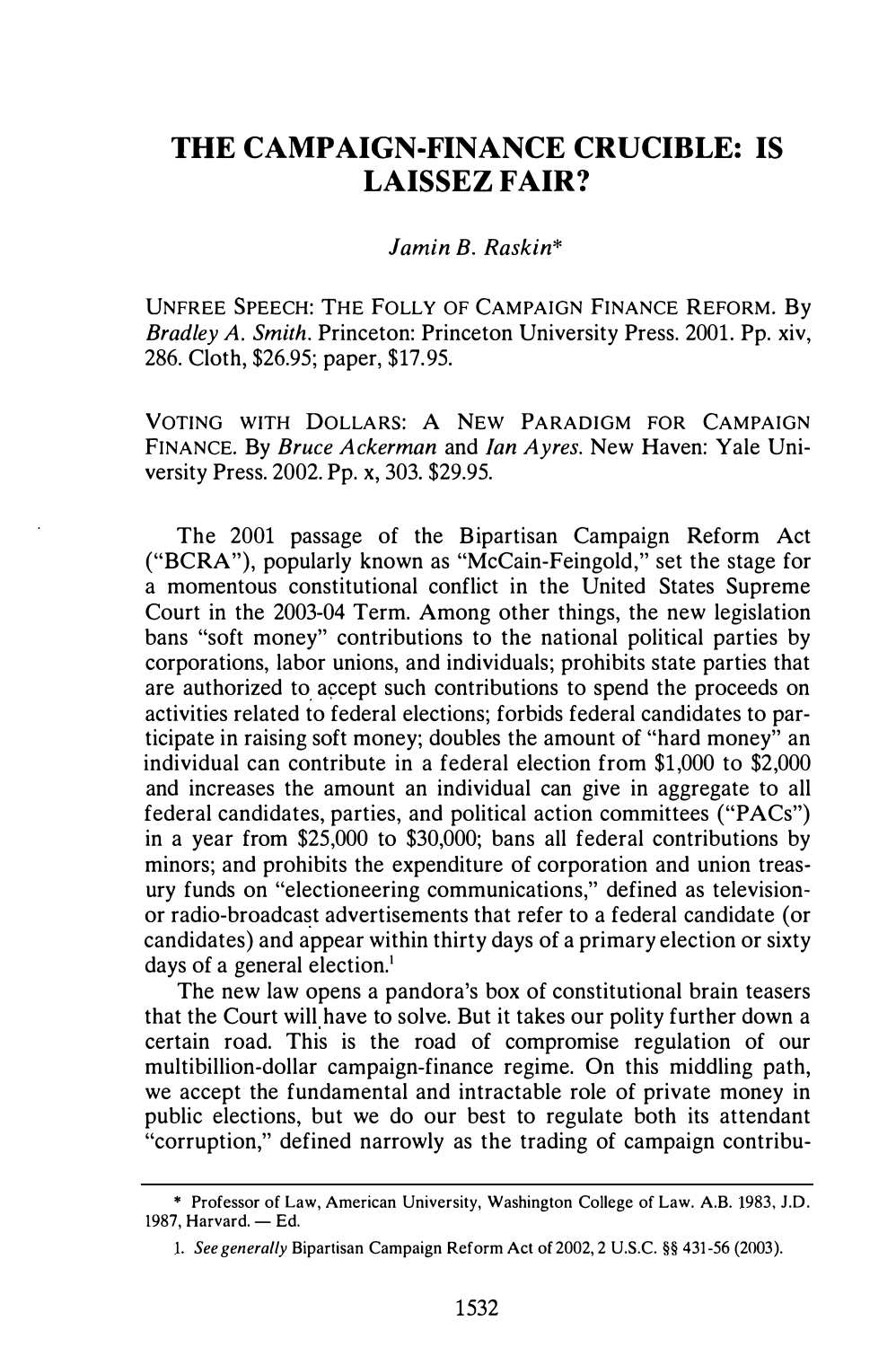## THE CAMPAIGN-FINANCE CRUCIBLE: IS LAISSEZ FAIR?

### Jamin B. Raskin\*

UNFREE SPEECH: THE FOLLY OF CAMPAIGN FINANCE REFORM. By Bradley A. Smith. Princeton: Princeton University Press. 2001. Pp. xiv, 286. Cloth, \$26.95; paper, \$17.95.

VOTING WITH DOLLARS: A NEW PARADIGM FOR CAMPAIGN FINANCE. By Bruce Ackerman and Ian Ayres. New Haven: Yale University Press. 2002. Pp. x, 303. \$29.95.

The 2001 passage of the Bipartisan Campaign Reform Act ("BCRA"), popularly known as "McCain-Feingold," set the stage for a momentous constitutional conflict in the United States Supreme Court in the 2003-04 Term. Among other things, the new legislation bans "soft money" contributions to the national political parties by corporations, labor unions, and individuals; prohibits state parties that are authorized to a�cept such contributions to spend the proceeds on activities related to federal elections; forbids federal candidates to participate in raising soft money; doubles the amount of "hard money" an individual can contribute in a federal election from \$1 ,000 to \$2,000 and increases the amount an individual can give in aggregate to all federal candidates, parties, and political action committees ("PACs") in a year from \$25,000 to \$30,000; bans all federal contributions by minors; and prohibits the expenditure of corporation and union treasury funds on "electioneering communications," defined as televisionor radio-broadcast advertisements that refer to a federal candidate (or candidates) and appear within thirty days of a primary election or sixty days of a general election.<sup>1</sup>

The new law opens a pandora's box of constitutional brain teasers that the Court will have to solve. But it takes our polity further down a certain road. This is the road of compromise regulation of our multibillion-dollar campaign-finance regime. On this middling path, we accept the fundamental and intractable role of private money in public elections, but we do our best to regulate both its attendant "corruption," defined narrowly as the trading of campaign contribu-

<sup>\*</sup> Professor of Law, American University, Washington College of Law. A.B. 1983, J.D. 1987, Harvard. - Ed.

<sup>1.</sup> See generally Bipartisan Campaign Reform Act of 2002, 2 U.S.C. §§ 431-56 (2003).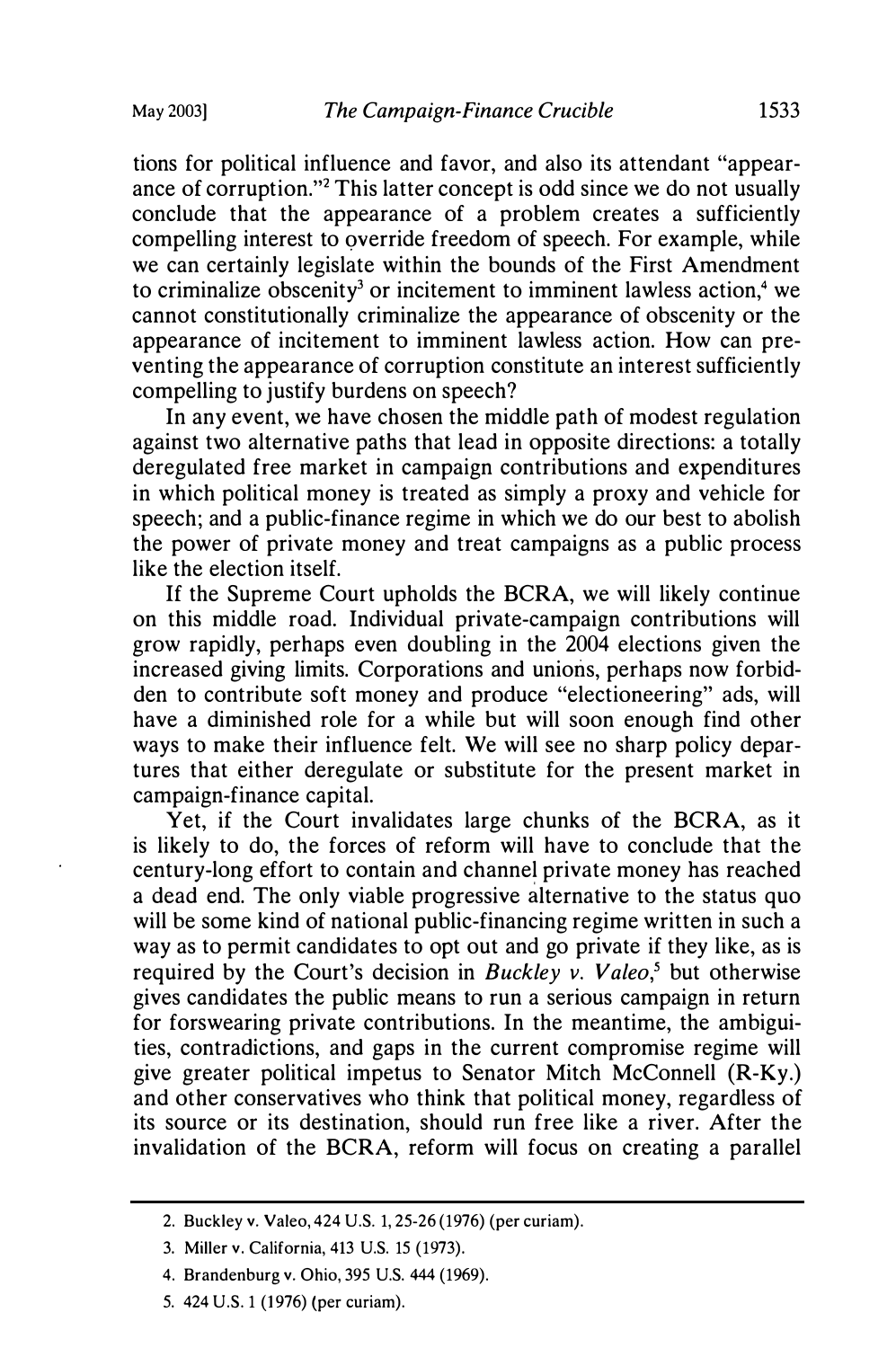tions for political influence and favor, and also its attendant "appearance of corruption."2 This latter concept is odd since we do not usually conclude that the appearance of a problem creates a sufficiently compelling interest to override freedom of speech. For example, while we can certainly legislate within the bounds of the First Amendment to criminalize obscenity<sup>3</sup> or incitement to imminent lawless action,<sup>4</sup> we cannot constitutionally criminalize the appearance of obscenity or the appearance of incitement to imminent lawless action. How can preventing the appearance of corruption constitute an interest sufficiently compelling to justify burdens on speech?

In any event, we have chosen the middle path of modest regulation against two alternative paths that lead in opposite directions: a totally deregulated free market in campaign contributions and expenditures in which political money is treated as simply a proxy and vehicle for speech; and a public-finance regime in which we do our best to abolish the power of private money and treat campaigns as a public process like the election itself.

If the Supreme Court upholds the BCRA, we will likely continue on this middle road. Individual private-campaign contributions will grow rapidly, perhaps even doubling in the 2004 elections given the increased giving limits. Corporations and unions, perhaps now forbidden to contribute soft money and produce "electioneering" ads, will have a diminished role for a while but will soon enough find other ways to make their influence felt. We will see no sharp policy departures that either deregulate or substitute for the present market in campaign-finance capital.

Yet, if the Court invalidates large chunks of the BCRA, as it is likely to do, the forces of reform will have to conclude that the century-long effort to contain and channel private money has reached a dead end. The only viable progressive alternative to the status quo will be some kind of national public-financing regime written in such a way as to permit candidates to opt out and go private if they like, as is required by the Court's decision in Buckley v. Valeo,<sup>5</sup> but otherwise gives candidates the public means to run a serious campaign in return for forswearing private contributions. In the meantime, the ambiguities, contradictions, and gaps in the current compromise regime will give greater political impetus to Senator Mitch McConnell (R-Ky.) and other conservatives who think that political money, regardless of its source or its destination, should run free like a river. After the invalidation of the BCRA, reform will focus on creating a parallel

<sup>2.</sup> Buckley v. Valeo, 424 U.S. 1, 25-26 (1976) (per curiam).

<sup>3.</sup> Miller v. California, 413 U.S. 15 (1973).

<sup>4.</sup> Brandenburg v. Ohio, 395 U.S. 444 (1969).

<sup>5. 424</sup> U.S. 1 (1976) (per curiam).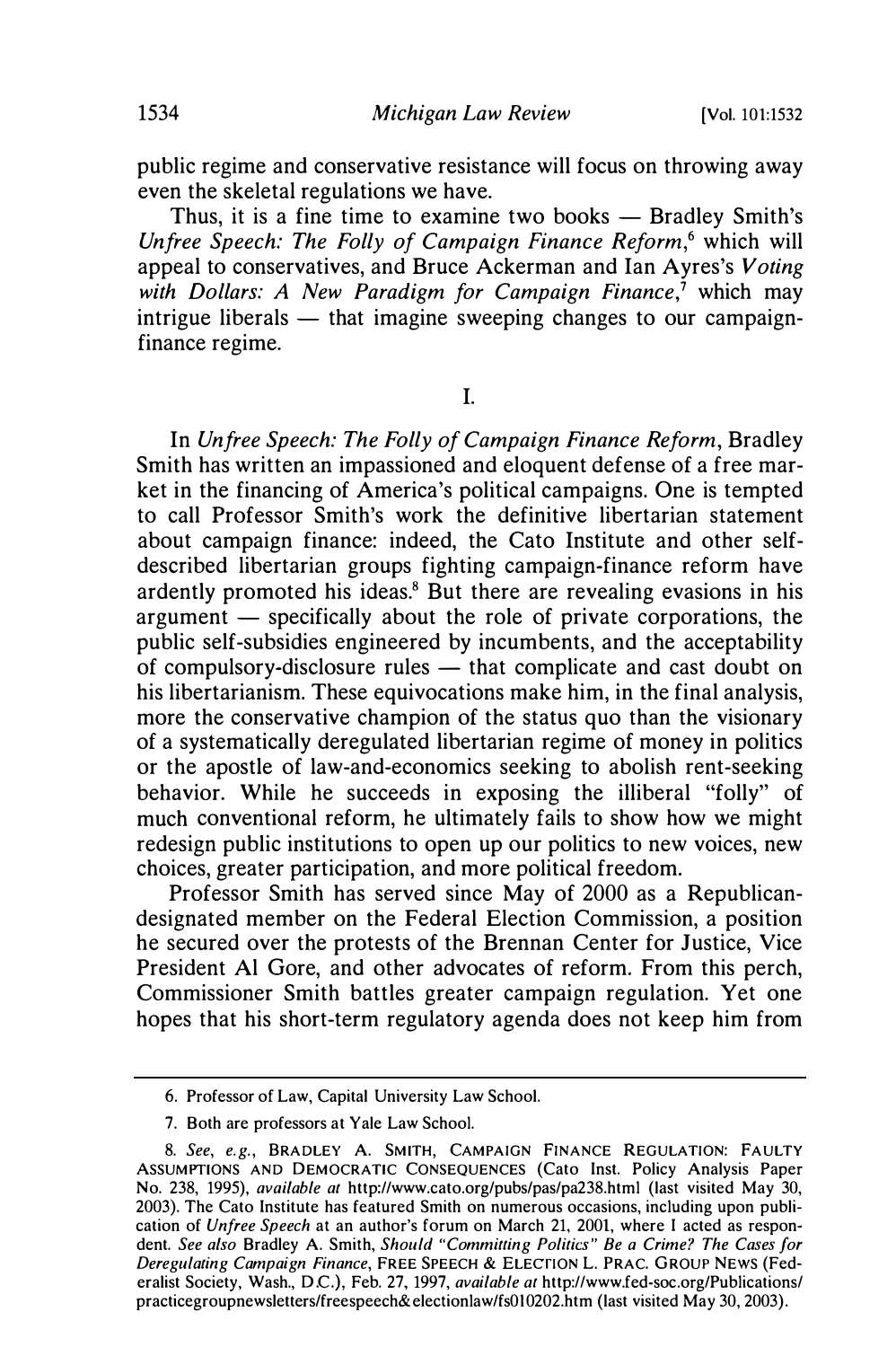public regime and conservative resistance will focus on throwing away even the skeletal regulations we have.

Thus, it is a fine time to examine two books — Bradley Smith's Unfree Speech: The Folly of Campaign Finance Reform,<sup>6</sup> which will appeal to conservatives, and Bruce Ackerman and Ian Ayres's Voting with Dollars: A New Paradigm for Campaign Finance,<sup> $\frac{1}{2}$ </sup> which may  $intrique$  liberals  $-$  that imagine sweeping changes to our campaignfinance regime.

I.

In Unfree Speech: The Folly of Campaign Finance Reform, Bradley Smith has written an impassioned and eloquent defense of a free market in the financing of America's political campaigns. One is tempted to call Professor Smith's work the definitive libertarian statement about campaign finance: indeed, the Cato Institute and other selfdescribed libertarian groups fighting campaign-finance reform have ardently promoted his ideas.<sup>8</sup> But there are revealing evasions in his  $a$ rgument  $-$  specifically about the role of private corporations, the public self-subsidies engineered by incumbents, and the acceptability of compulsory-disclosure rules  $-$  that complicate and cast doubt on his libertarianism. These equivocations make him, in the final analysis, more the conservative champion of the status quo than the visionary of a systematically deregulated libertarian regime of money in politics or the apostle of law-and-economics seeking to abolish rent-seeking behavior. While he succeeds in exposing the illiberal "folly" of much conventional reform, he ultimately fails to show how we might redesign public institutions to open up our politics to new voices, new choices, greater participation, and more political freedom.

Professor Smith has served since May of 2000 as a Republicandesignated member on the Federal Election Commission, a position he secured over the protests of the Brennan Center for Justice, Vice President Al Gore, and other advocates of reform. From this perch, Commissioner Smith battles greater campaign regulation. Yet one hopes that his short-term regulatory agenda does not keep him from

<sup>6.</sup> Professor of Law, Capital University Law School.

<sup>7.</sup> Both are professors at Yale Law School.

<sup>8.</sup> See, e.g., BRADLEY A. SMITH, CAMPAIGN FINANCE REGULATION: FAULTY ASSUMPTIONS AND DEMOCRATIC CONSEQUENCES (Cato Inst. Policy Analysis Paper No. 238, 1995), available at http://www.cato.org/pubs/pas/pa238.html (last visited May 30, 2003). The Cato Institute has featured Smith on numerous occasions, including upon publication of Unfree Speech at an author's forum on March 21, 2001, where I acted as respondent. See also Bradley A. Smith, Should "Committing Politics" Be a Crime? The Cases for Deregulating Campaign Finance, FREE SPEECH & ELECTION L. PRAC. GROUP NEWS (Federalist Society, Wash., D.C.), Feb. 27, 1997, *available at http://www.fed-soc.org/Publications/* practicegroupnewsletters/freespeech&electionlaw/fs010202.htm (last visited May 30, 2003).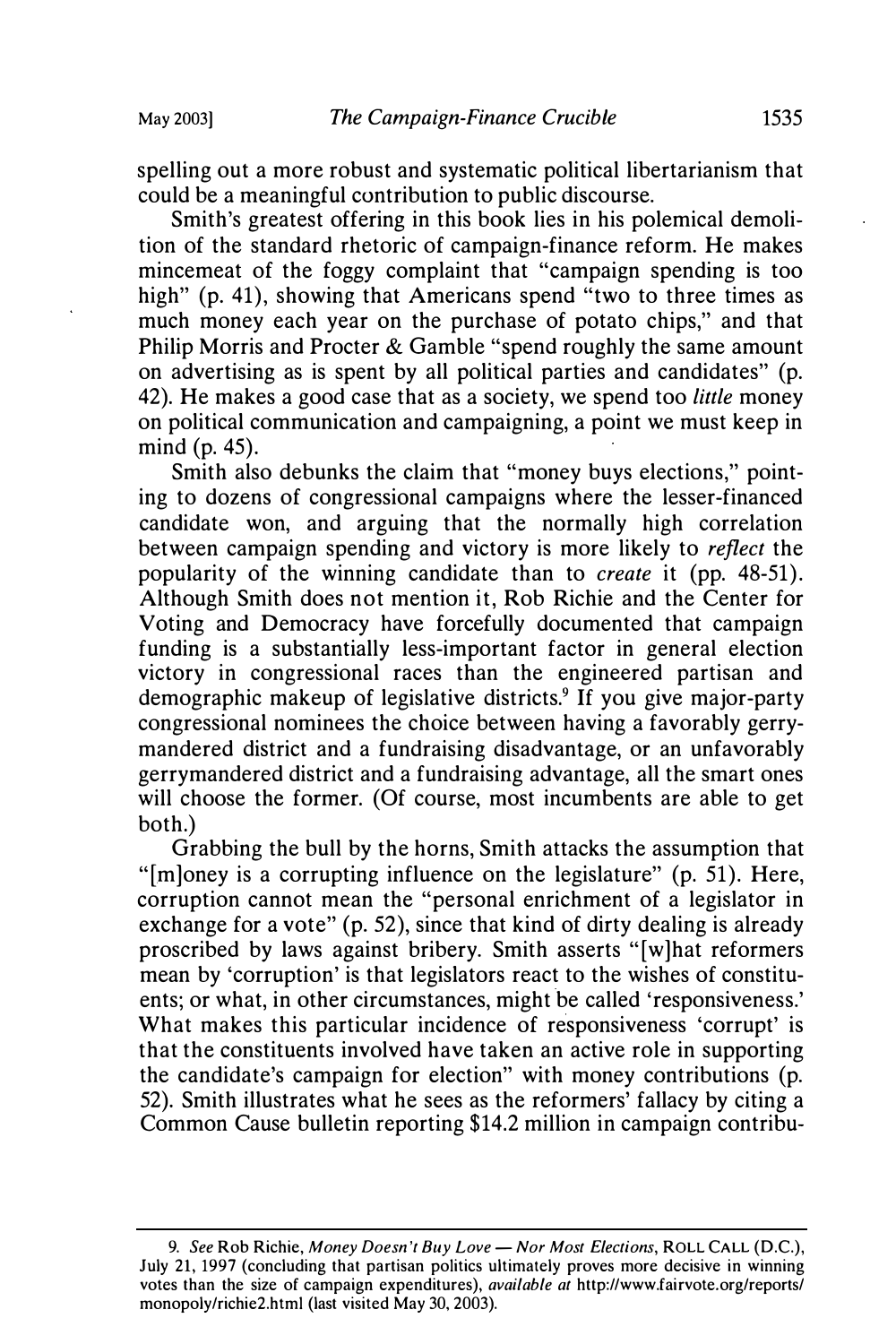spelling out a more robust and systematic political libertarianism that could be a meaningful contribution to public discourse.

Smith's greatest offering in this book lies in his polemical demolition of the standard rhetoric of campaign-finance reform. He makes mincemeat of the foggy complaint that "campaign spending is too high" (p. 41), showing that Americans spend "two to three times as much money each year on the purchase of potato chips," and that Philip Morris and Procter & Gamble "spend roughly the same amount on advertising as is spent by all political parties and candidates" (p. 42). He makes a good case that as a society, we spend too *little* money on political communication and campaigning, a point we must keep in mind (p. 45).

Smith also debunks the claim that "money buys elections," pointing to dozens of congressional campaigns where the lesser-financed candidate won, and arguing that the normally high correlation between campaign spending and victory is more likely to reflect the popularity of the winning candidate than to create it (pp. 48-51). Although Smith does not mention it, Rob Richie and the Center for Voting and Democracy have forcefully documented that campaign funding is a substantially less-important factor in general election victory in congressional races than the engineered partisan and demographic makeup of legislative districts.<sup>9</sup> If you give major-party congressional nominees the choice between having a favorably gerrymandered district and a fundraising disadvantage, or an unfavorably gerrymandered district and a fundraising advantage, all the smart ones will choose the former. (Of course, most incumbents are able to get both.)

Grabbing the bull by the horns, Smith attacks the assumption that "[m]oney is a corrupting influence on the legislature" (p. 51). Here, corruption cannot mean the "personal enrichment of a legislator in exchange for a vote" (p. 52), since that kind of dirty dealing is already proscribed by laws against bribery. Smith asserts "[w]hat reformers mean by 'corruption' is that legislators react to the wishes of constituents; or what, in other circumstances, might be called 'responsiveness.' What makes this particular incidence of responsiveness 'corrupt' is that the constituents involved have taken an active role in supporting the candidate's campaign for election" with money contributions (p. 52). Smith illustrates what he sees as the reformers' fallacy by citing a Common Cause bulletin reporting \$14.2 million in campaign contribu-

<sup>9.</sup> See Rob Richie, Money Doesn't Buy Love - Nor Most Elections, ROLL CALL (D.C.), July 21, 1997 (concluding that partisan politics ultimately proves more decisive in winning votes than the size of campaign expenditures), available at http://www.fairvote.org/reports/ monopoly/richie2.html (last visited May 30, 2003).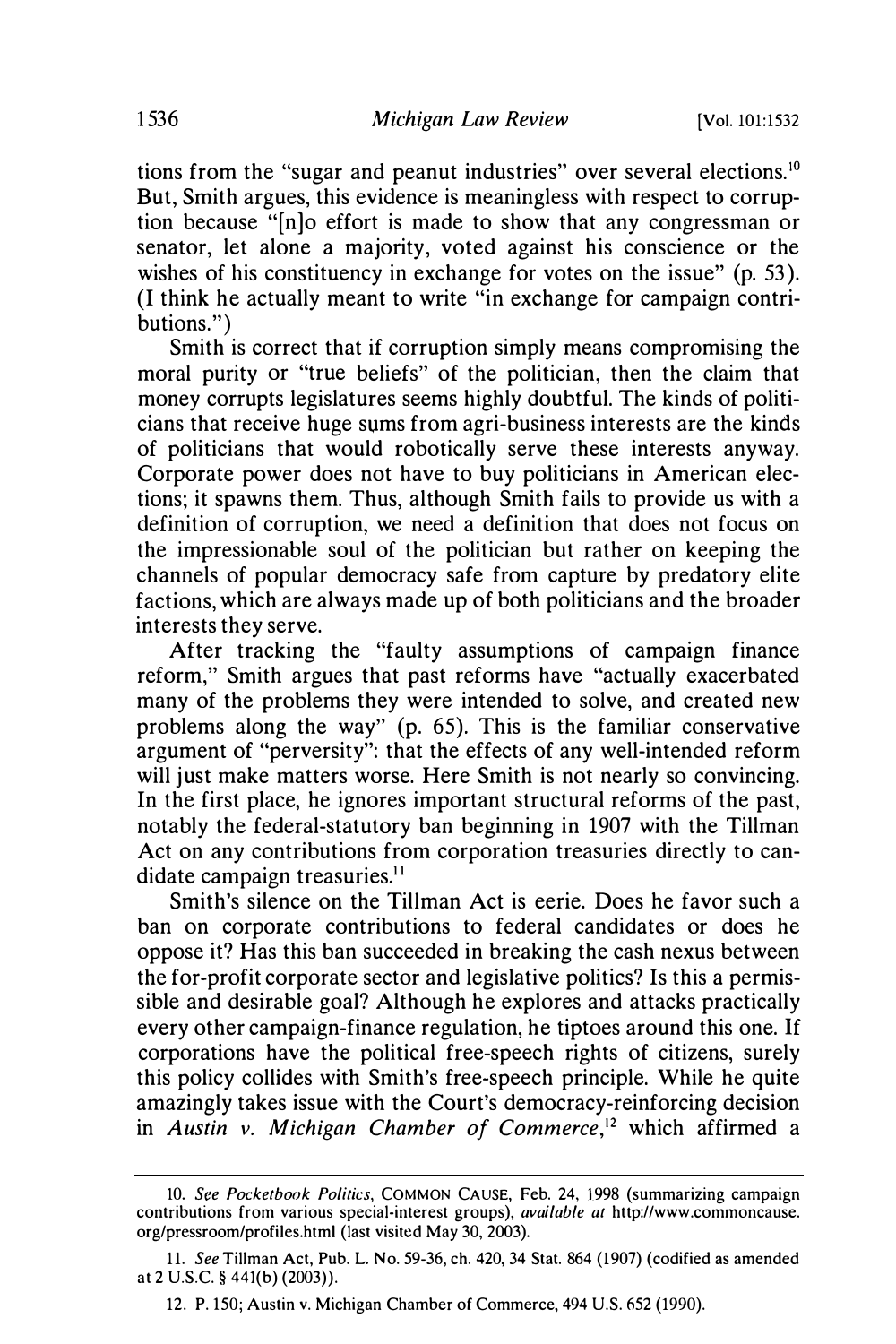tions from the "sugar and peanut industries" over several elections.10 But, Smith argues, this evidence is meaningless with respect to corruption because "[n]o effort is made to show that any congressman or senator, let alone a majority, voted against his conscience or the wishes of his constituency in exchange for votes on the issue" (p. 53). (I think he actually meant to write "in exchange for campaign contributions.")

Smith is correct that if corruption simply means compromising the moral purity or "true beliefs" of the politician, then the claim that money corrupts legislatures seems highly doubtful. The kinds of politicians that receive huge sums from agri-business interests are the kinds of politicians that would robotically serve these interests anyway. Corporate power does not have to buy politicians in American elections; it spawns them. Thus, although Smith fails to provide us with a definition of corruption, we need a definition that does not focus on the impressionable soul of the politician but rather on keeping the channels of popular democracy safe from capture by predatory elite factions, which are always made up of both politicians and the broader interests they serve.

After tracking the "faulty assumptions of campaign finance reform," Smith argues that past reforms have "actually exacerbated many of the problems they were intended to solve, and created new problems along the way" (p. 65). This is the familiar conservative argument of "perversity": that the effects of any well-intended reform will just make matters worse. Here Smith is not nearly so convincing. In the first place, he ignores important structural reforms of the past, notably the federal-statutory ban beginning in 1907 with the Tillman Act on any contributions from corporation treasuries directly to candidate campaign treasuries.<sup>11</sup>

Smith's silence on the Tillman Act is eerie. Does he favor such a ban on corporate contributions to federal candidates or does he oppose it? Has this ban succeeded in breaking the cash nexus between the for-profit corporate sector and legislative politics? Is this a permissible and desirable goal? Although he explores and attacks practically every other campaign-finance regulation, he tiptoes around this one. If corporations have the political free-speech rights of citizens, surely this policy collides with Smith's free-speech principle. While he quite amazingly takes issue with the Court's democracy-reinforcing decision in Austin v. Michigan Chamber of Commerce,<sup>12</sup> which affirmed a

<sup>10.</sup> See Pocketbook Politics, COMMON CAUSE, Feb. 24, 1998 (summarizing campaign contributions from various special-interest groups), available at http://www.commoncause. org/pressroom/profiles.html (last visited May 30, 2003).

<sup>11.</sup> See Tillman Act, Pub. L. No. 59-36, ch. 420, 34 Stat. 864 (1907) (codified as amended at 2 U.S.C. § 441(b) (2003)).

<sup>12.</sup> P. 150; Austin v. Michigan Chamber of Commerce, 494 U.S. 652 (1990).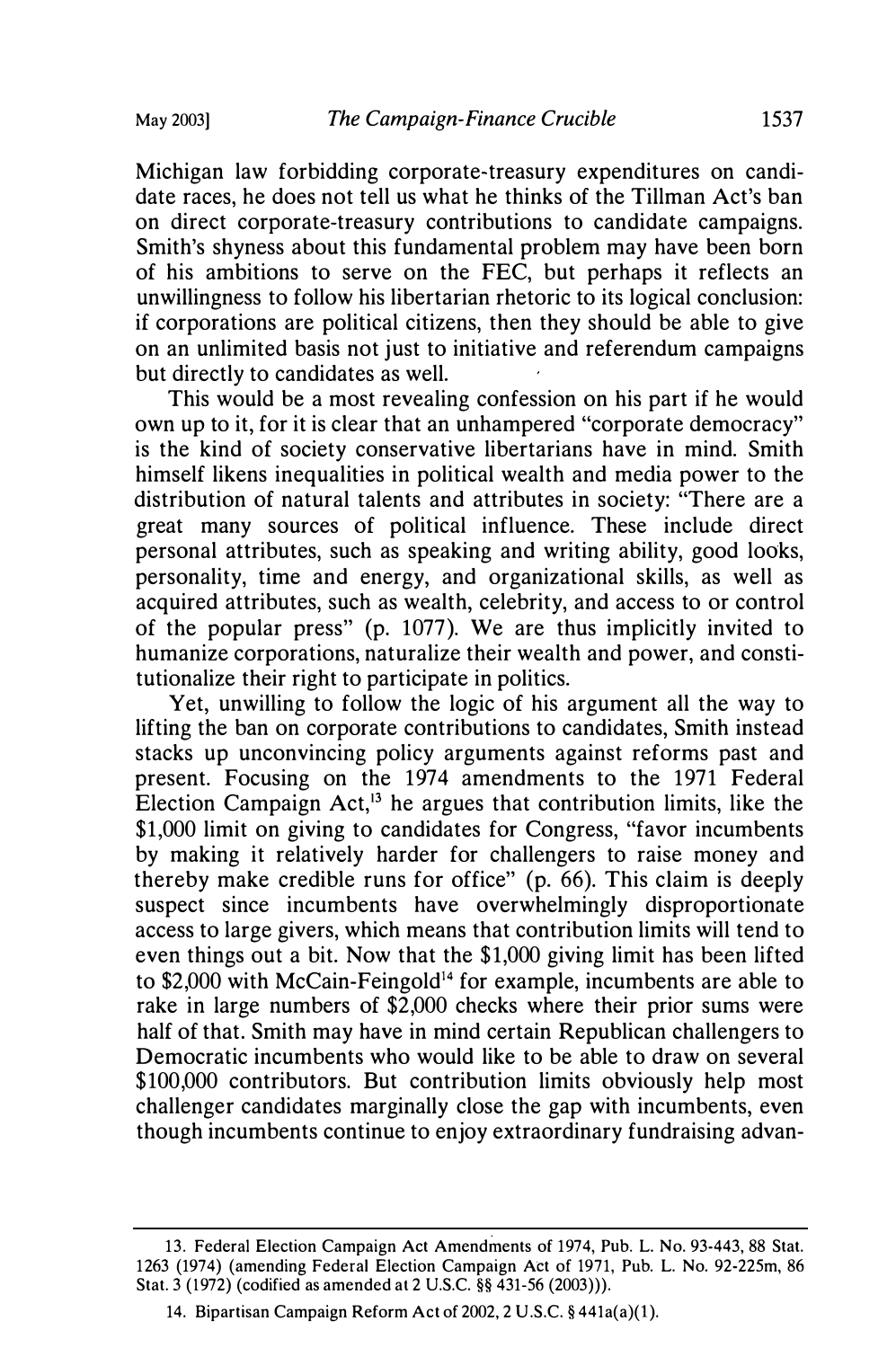Michigan law forbidding corporate-treasury expenditures on candidate races, he does not tell us what he thinks of the Tillman Act's ban on direct corporate-treasury contributions to candidate campaigns. Smith's shyness about this fundamental problem may have been born of his ambitions to serve on the FEC, but perhaps it reflects an unwillingness to follow his libertarian rhetoric to its logical conclusion: if corporations are political citizens, then they should be able to give on an unlimited basis not just to initiative and referendum campaigns but directly to candidates as well.

This would be a most revealing confession on his part if he would own up to it, for it is clear that an unhampered "corporate democracy" is the kind of society conservative libertarians have in mind. Smith himself likens inequalities in political wealth and media power to the distribution of natural talents and attributes in society: "There are a great many sources of political influence. These include direct personal attributes, such as speaking and writing ability, good looks, personality, time and energy, and organizational skills, as well as acquired attributes, such as wealth, celebrity, and access to or control of the popular press" (p. 1077). We are thus implicitly invited to humanize corporations, naturalize their wealth and power, and constitutionalize their right to participate in politics.

Yet, unwilling to follow the logic of his argument all the way to lifting the ban on corporate contributions to candidates, Smith instead stacks up unconvincing policy arguments against reforms past and present. Focusing on the 1974 amendments to the 1971 Federal Election Campaign Act, $^{13}$  he argues that contribution limits, like the \$1,000 limit on giving to candidates for Congress, "favor incumbents by making it relatively harder for challengers to raise money and thereby make credible runs for office" (p. 66). This claim is deeply suspect since incumbents have overwhelmingly disproportionate access to large givers, which means that contribution limits will tend to even things out a bit. Now that the \$1,000 giving limit has been lifted to \$2,000 with McCain-Feingold<sup>14</sup> for example, incumbents are able to rake in large numbers of \$2,000 checks where their prior sums were half of that. Smith may have in mind certain Republican challengers to Democratic incumbents who would like to be able to draw on several \$100,000 contributors. But contribution limits obviously help most challenger candidates marginally close the gap with incumbents, even though incumbents continue to enjoy extraordinary fundraising advan-

<sup>13.</sup> Federal Election Campaign Act Amendments of 1974, Pub. L. No. 93-443, 88 Stat. 1263 (1974) (amending Federal Election Campaign Act of 1971, Pub. L. No. 92-225m, 86 Stat. 3 (1972) (codified as amended at 2 U.S.C. §§ 431-56 (2003))).

<sup>14.</sup> Bipartisan Campaign Reform Act of 2002, 2 U.S.C. § 441a(a)(1).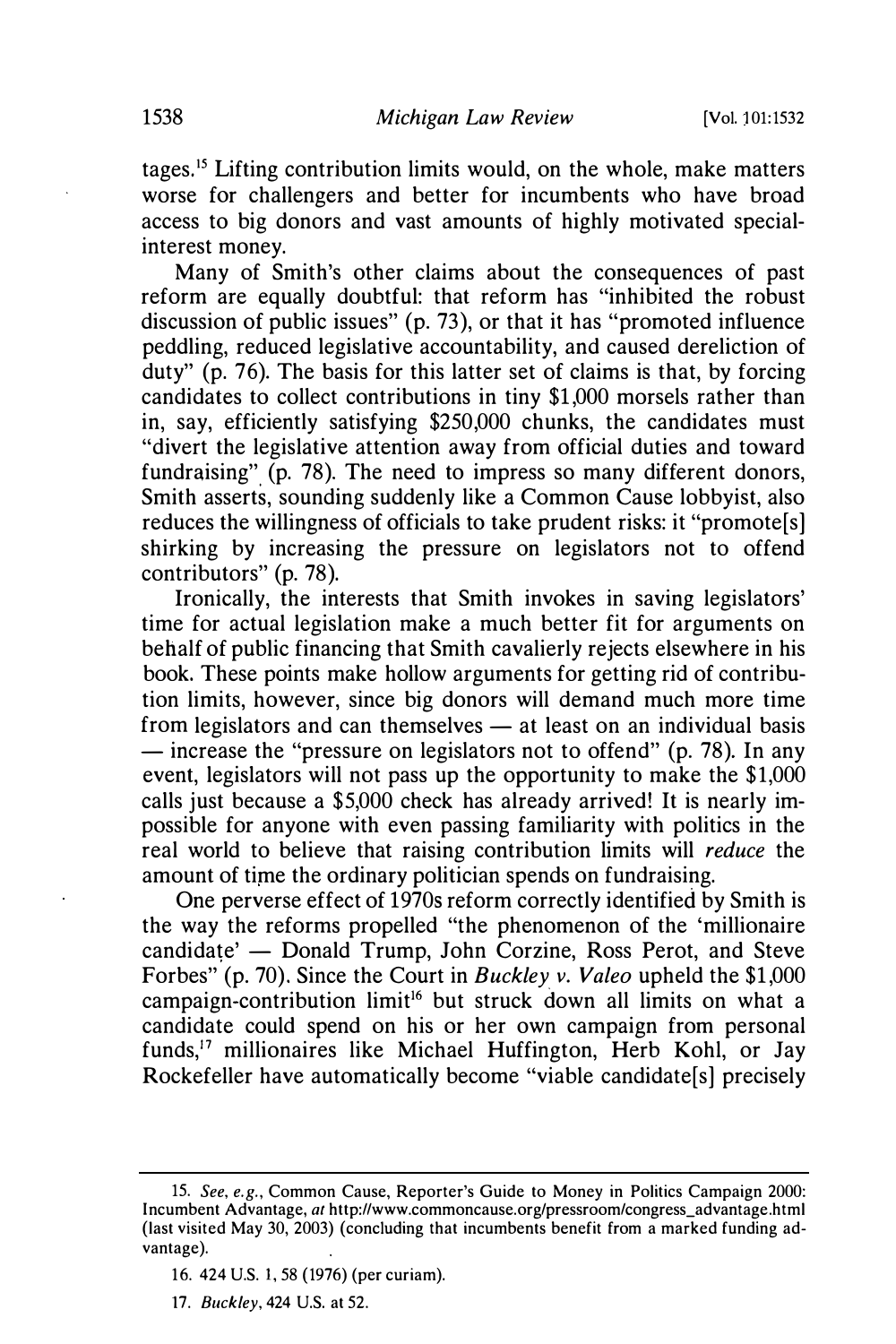tages.15 Lifting contribution limits would, on the whole, make matters worse for challengers and better for incumbents who have broad access to big donors and vast amounts of highly motivated specialinterest money.

Many of Smith's other claims about the consequences of past reform are equally doubtful: that reform has "inhibited the robust discussion of public issues" (p. 73), or that it has "promoted influence peddling, reduced legislative accountability, and caused dereliction of duty" (p. 76). The basis for this latter set of claims is that, by forcing candidates to collect contributions in tiny \$1,000 morsels rather than in, say, efficiently satisfying \$250,000 chunks, the candidates must "divert the legislative attention away from official duties and toward fundraising" (p. 78). The need to impress so many different donors, Smith asserts, sounding suddenly like a Common Cause lobbyist, also reduces the willingness of officials to take prudent risks: it "promote[s] shirking by increasing the pressure on legislators not to offend contributors" (p. 78).

Ironically, the interests that Smith invokes in saving legislators' time for actual legislation make a much better fit for arguments on behalf of public financing that Smith cavalierly rejects elsewhere in his book. These points make hollow arguments for getting rid of contribution limits, however, since big donors will demand much more time from legislators and can themselves  $-$  at least on an individual basis - increase the "pressure on legislators not to offend" (p. 78). In any event, legislators will not pass up the opportunity to make the \$1,000 calls just because a \$5,000 check has already arrived! It is nearly impossible for anyone with even passing familiarity with politics in the real world to believe that raising contribution limits will reduce the amount of time the ordinary politician spends on fundraising.

One perverse effect of 1970s reform correctly identified by Smith is the way the reforms propelled "the phenomenon of the 'millionaire candidate' - Donald Trump, John Corzine, Ross Perot, and Steve Forbes" (p. 70). Since the Court in Buckley v. Valeo upheld the \$1,000 campaign-contribution limit<sup>16</sup> but struck down all limits on what a candidate could spend on his or her own campaign from personal funds,<sup>17</sup> millionaires like Michael Huffington, Herb Kohl, or Jay Rockefeller have automatically become "viable candidate[s] precisely

<sup>15.</sup> See, e.g., Common Cause, Reporter's Guide to Money in Politics Campaign 2000: Incumbent Advantage, at http://www.commoncause.org/pressroom/congress\_advantage.html (last visited May 30, 2003) (concluding that incumbents benefit from a marked funding advantage).

<sup>16. 424</sup> U.S. 1, 58 (1976) (per curiam).

<sup>17.</sup> Buckley, 424 U.S. at 52.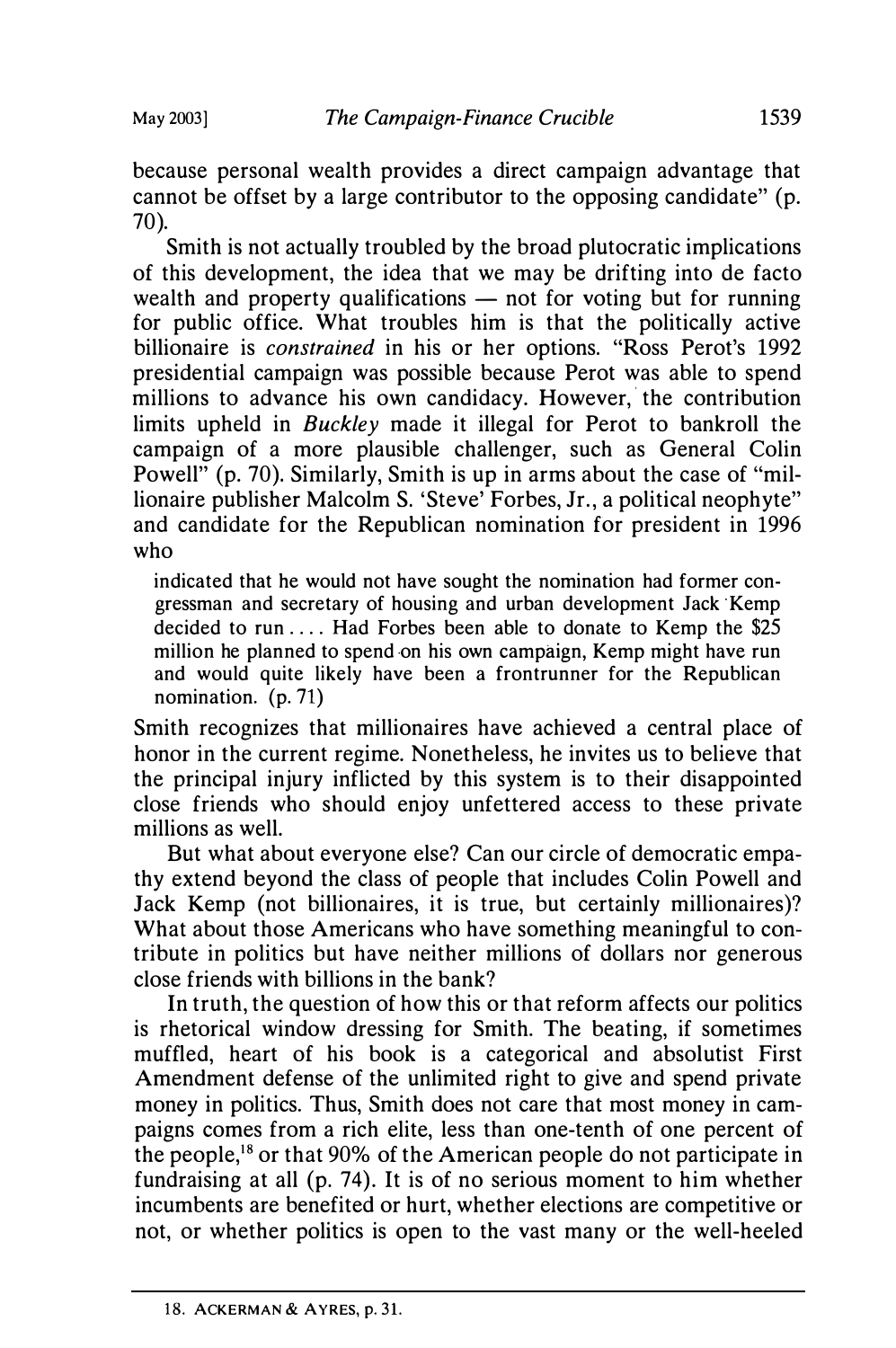because personal wealth provides a direct campaign advantage that cannot be offset by a large contributor to the opposing candidate" (p. 70).

Smith is not actually troubled by the broad plutocratic implications of this development, the idea that we may be drifting into de facto wealth and property qualifications  $-$  not for voting but for running for public office. What troubles him is that the politically active billionaire is constrained in his or her options. "Ross Perot's 1992 presidential campaign was possible because Perot was able to spend millions to advance his own candidacy. However, the contribution limits upheld in Buckley made it illegal for Perot to bankroll the campaign of a more plausible challenger, such as General Colin Powell" (p. 70). Similarly, Smith is up in arms about the case of "millionaire publisher Malcolm S. 'Steve' Forbes, Jr., a political neophyte" and candidate for the Republican nomination for president in 1996 who

indicated that he would not have sought the nomination had former congressman and secretary of housing and urban development Jack Kemp decided to run .... Had Forbes been able to donate to Kemp the \$25 million he planned to spend on his own campaign, Kemp might have run and would quite likely have been a frontrunner for the Republican nomination. (p. 71)

Smith recognizes that millionaires have achieved a central place of honor in the current regime. Nonetheless, he invites us to believe that the principal injury inflicted by this system is to their disappointed close friends who should enjoy unfettered access to these private millions as well.

But what about everyone else? Can our circle of democratic empathy extend beyond the class of people that includes Colin Powell and Jack Kemp (not billionaires, it is true, but certainly millionaires)? What about those Americans who have something meaningful to contribute in politics but have neither millions of dollars nor generous close friends with billions in the bank?

In truth, the question of how this or that reform affects our politics is rhetorical window dressing for Smith. The beating, if sometimes muffled, heart of his book is a categorical and absolutist First Amendment defense of the unlimited right to give and spend private money in politics. Thus, Smith does not care that most money in campaigns comes from a rich elite, less than one-tenth of one percent of the people,<sup>18</sup> or that 90% of the American people do not participate in fundraising at all (p. 74). It is of no serious moment to him whether incumbents are benefited or hurt, whether elections are competitive or not, or whether politics is open to the vast many or the well-heeled

<sup>18.</sup> ACKERMAN & AYRES, p. 31.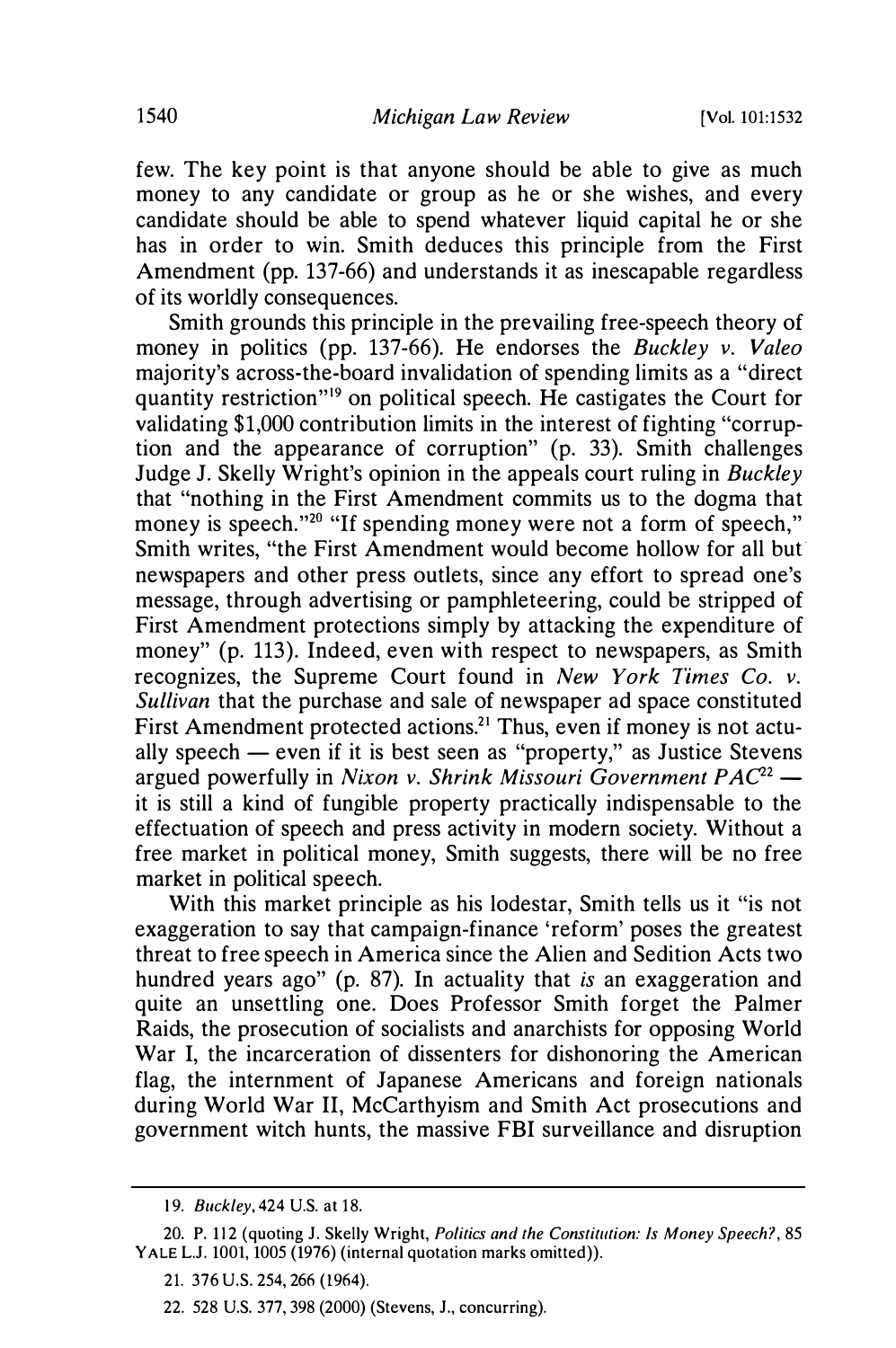few. The key point is that anyone should be able to give as much money to any candidate or group as he or she wishes, and every candidate should be able to spend whatever liquid capital he or she has in order to win. Smith deduces this principle from the First Amendment (pp. 137-66) and understands it as inescapable regardless of its worldly consequences.

Smith grounds this principle in the prevailing free-speech theory of money in politics (pp. 137-66). He endorses the Buckley  $v$ . Valeo majority's across-the-board invalidation of spending limits as a "direct quantity restriction"19 on political speech. He castigates the Court for validating \$1,000 contribution limits in the interest of fighting "corruption and the appearance of corruption" (p. 33). Smith challenges Judge J. Skelly Wright's opinion in the appeals court ruling in Buckley that "nothing in the First Amendment commits us to the dogma that money is speech."<sup>20</sup> "If spending money were not a form of speech," Smith writes, "the First Amendment would become hollow for all but newspapers and other press outlets, since any effort to spread one's message, through advertising or pamphleteering, could be stripped of First Amendment protections simply by attacking the expenditure of money" (p. 113). Indeed, even with respect to newspapers, as Smith recognizes, the Supreme Court found in New York Times Co. v. Sullivan that the purchase and sale of newspaper ad space constituted First Amendment protected actions.<sup>21</sup> Thus, even if money is not actually speech — even if it is best seen as "property," as Justice Stevens argued powerfully in Nixon v. Shrink Missouri Government  $PAC^{22}$  it is still a kind of fungible property practically indispensable to the effectuation of speech and press activity in modern society. Without a free market in political money, Smith suggests, there will be no free market in political speech.

With this market principle as his lodestar, Smith tells us it "is not exaggeration to say that campaign-finance 'reform' poses the greatest threat to free speech in America since the Alien and Sedition Acts two hundred years ago" (p. 87). In actuality that *is* an exaggeration and quite an unsettling one. Does Professor Smith forget the Palmer Raids, the prosecution of socialists and anarchists for opposing World War I, the incarceration of dissenters for dishonoring the American flag, the internment of Japanese Americans and foreign nationals during World War II, McCarthyism and Smith Act prosecutions and government witch hunts, the massive FBI surveillance and disruption

<sup>19.</sup> Buckley, 424 U.S. at 18.

<sup>20.</sup> P. 112 (quoting J. Skelly Wright, Politics and the Constitution: Is Money Speech?, 85 YALE L.J. 1001, 1005 (1976) (internal quotation marks omitted)).

<sup>21. 376</sup> U.S. 254, 266 (1964).

<sup>22. 528</sup> U.S. 377, 398 (2000) (Stevens, J., concurring).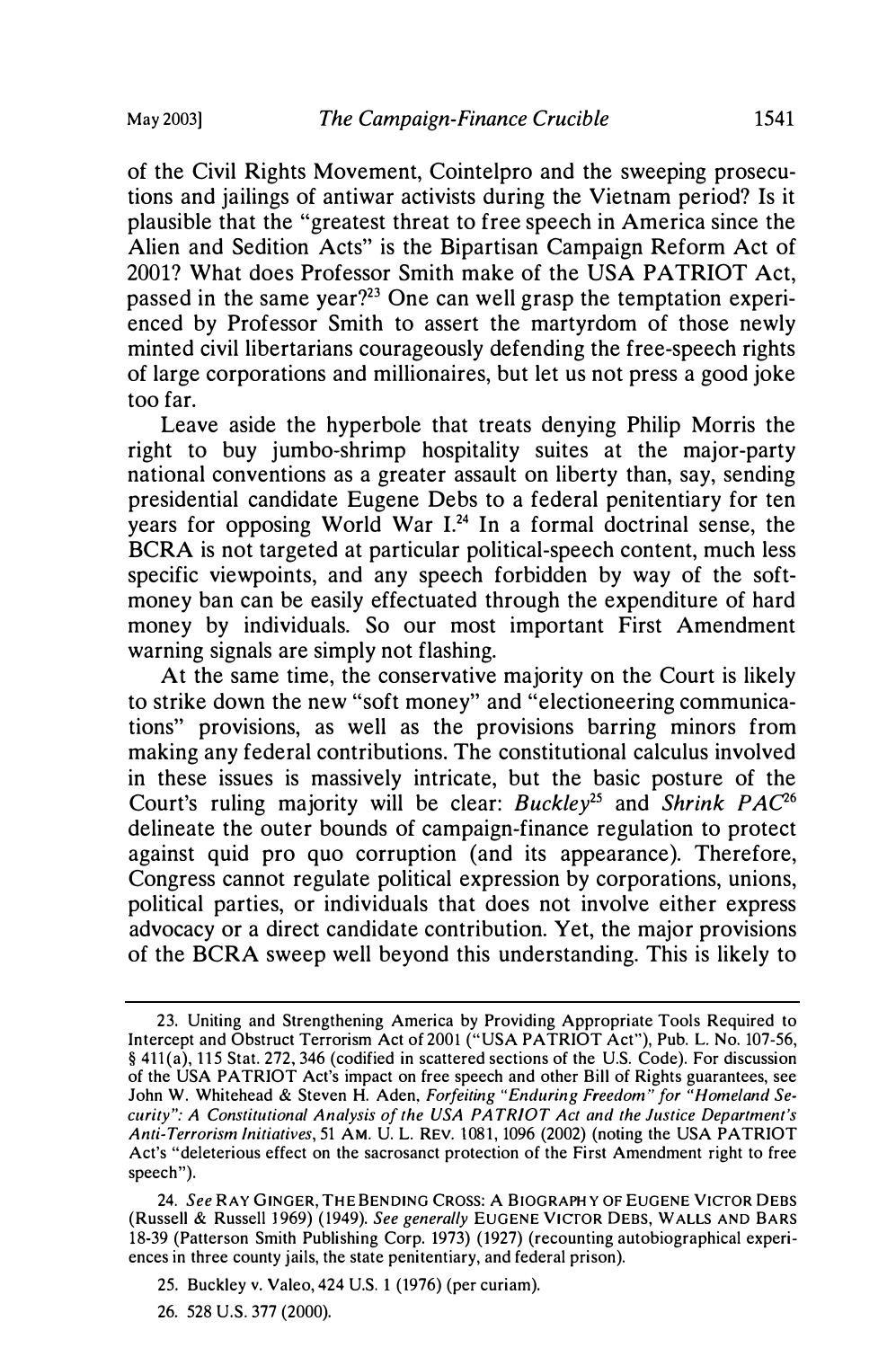of the Civil Rights Movement, Cointelpro and the sweeping prosecutions and jailings of antiwar activists during the Vietnam period? Is it plausible that the "greatest threat to free speech in America since the Alien and Sedition Acts" is the Bipartisan Campaign Reform Act of 2001? What does Professor Smith make of the USA PATRIOT Act, passed in the same year?<sup>23</sup> One can well grasp the temptation experienced by Professor Smith to assert the martyrdom of those newly minted civil libertarians courageously defending the free-speech rights of large corporations and millionaires, but let us not press a good joke too far.

Leave aside the hyperbole that treats denying Philip Morris the right to buy jumbo-shrimp hospitality suites at the major-party national conventions as a greater assault on liberty than, say, sending presidential candidate Eugene Debs to a federal penitentiary for ten years for opposing World War I.24 In a formal doctrinal sense, the BCRA is not targeted at particular political-speech content, much less specific viewpoints, and any speech forbidden by way of the softmoney ban can be easily effectuated through the expenditure of hard money by individuals. So our most important First Amendment warning signals are simply not flashing.

At the same time, the conservative majority on the Court is likely to strike down the new "soft money" and "electioneering communications" provisions, as well as the provisions barring minors from making any federal contributions. The constitutional calculus involved in these issues is massively intricate, but the basic posture of the Court's ruling majority will be clear:  $Buckley^{25}$  and Shrink  $PAC^{26}$ delineate the outer bounds of campaign-finance regulation to protect against quid pro quo corruption (and its appearance). Therefore, Congress cannot regulate political expression by corporations, unions, political parties, or individuals that does not involve either express advocacy or a direct candidate contribution. Yet, the major provisions of the BCRA sweep well beyond this understanding. This is likely to

<sup>23.</sup> Uniting and Strengthening America by Providing Appropriate Tools Required to Intercept and Obstruct Terrorism Act of 2001 ("USA PATRIOT Act"), Pub. L. No. 107-56, § 411(a), 115 Stat. 272, 346 (codified in scattered sections of the U.S. Code). For discussion of the USA PATRIOT Act's impact on free speech and other Bill of Rights guarantees, see John W. Whitehead & Steven H. Aden, Forfeiting "Enduring Freedom" for "Homeland Security": A Constitutional Analysis of the USA PA TR/OT Act and the Justice Department's Anti-Terrorism Initiatives, 51 AM. U. L. REV. 1081, 1096 (2002) (noting the USA PATRIOT Act's "deleterious effect on the sacrosanct protection of the First Amendment right to free speech").

<sup>24.</sup> See RAY GINGER, THE BENDING CROSS: A BIOGRAPHY OF EUGENE VICTOR DEBS (Russell & Russell 1969) ( 1949). See generally EUGENE VICTOR DEBS, W ALLS AND BARS 18-39 (Patterson Smith Publishing Corp. 1973) (1927) (recounting autobiographical experiences in three county jails, the state penitentiary, and federal prison).

<sup>25.</sup> Buckley v. Valeo, 424 U.S. 1 (1976) (per curiam).

<sup>26. 528</sup> U.S. 377 (2000).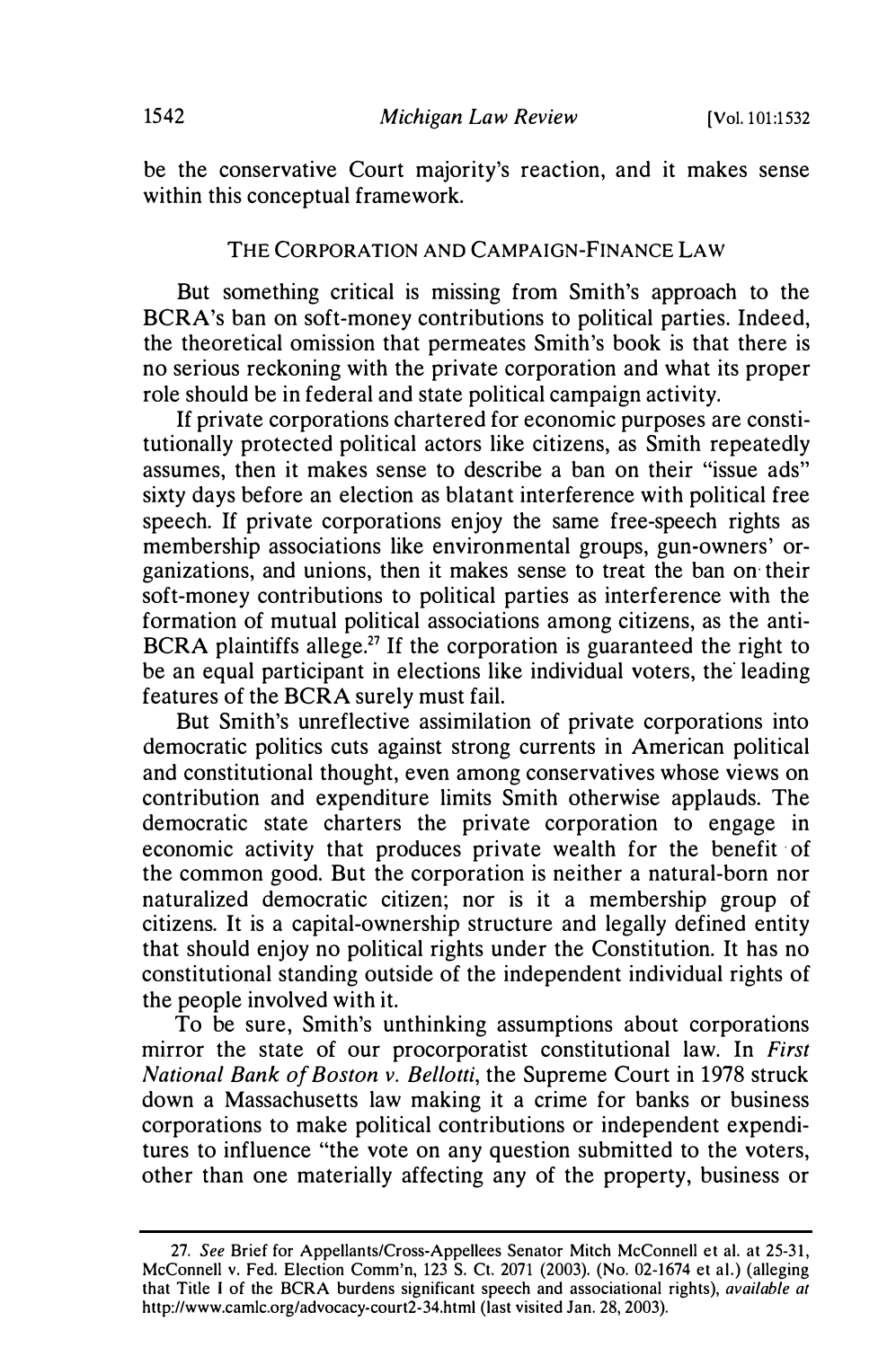be the conservative Court majority's reaction, and it makes sense within this conceptual framework.

### THE CORPORATION AND CAMPAIGN-FINANCE LAW

But something critical is missing from Smith's approach to the BCRA's ban on soft-money contributions to political parties. Indeed, the theoretical omission that permeates Smith's book is that there is no serious reckoning with the private corporation and what its proper role should be in federal and state political campaign activity.

If private corporations chartered for economic purposes are constitutionally protected political actors like citizens, as Smith repeatedly assumes, then it makes sense to describe a ban on their "issue ads" sixty days before an election as blatant interference with political free speech. If private corporations enjoy the same free-speech rights as membership associations like environmental groups, gun-owners' organizations, and unions, then it makes sense to treat the ban on their soft-money contributions to political parties as interference with the formation of mutual political associations among citizens, as the anti-BCRA plaintiffs allege.<sup>27</sup> If the corporation is guaranteed the right to be an equal participant in elections like individual voters, the leading features of the BCRA surely must fail.

But Smith's unreflective assimilation of private corporations into democratic politics cuts against strong currents in American political and constitutional thought, even among conservatives whose views on contribution and expenditure limits Smith otherwise applauds. The democratic state charters the private corporation to engage in economic activity that produces private wealth for the benefit of the common good. But the corporation is neither a natural-born nor naturalized democratic citizen; nor is it a membership group of citizens. It is a capital-ownership structure and legally defined entity that should enjoy no political rights under the Constitution. It has no constitutional standing outside of the independent individual rights of the people involved with it.

To be sure, Smith's unthinking assumptions about corporations mirror the state of our procorporatist constitutional law. In First National Bank of Boston v. Bellotti, the Supreme Court in 1978 struck down a Massachusetts law making it a crime for banks or business corporations to make political contributions or independent expenditures to influence "the vote on any question submitted to the voters, other than one materially affecting any of the property, business or

<sup>27.</sup> See Brief for Appellants/Cross-Appellees Senator Mitch McConnell et al. at 25-31, McConnell v. Fed. Election Comm'n, 123 S. Ct. 2071 (2003). (No. 02-1674 et al.) (alleging that Title I of the BCRA burdens significant speech and associational rights), *available at* http://www.camlc.org/advocacy-court2-34.html (last visited Jan. 28, 2003).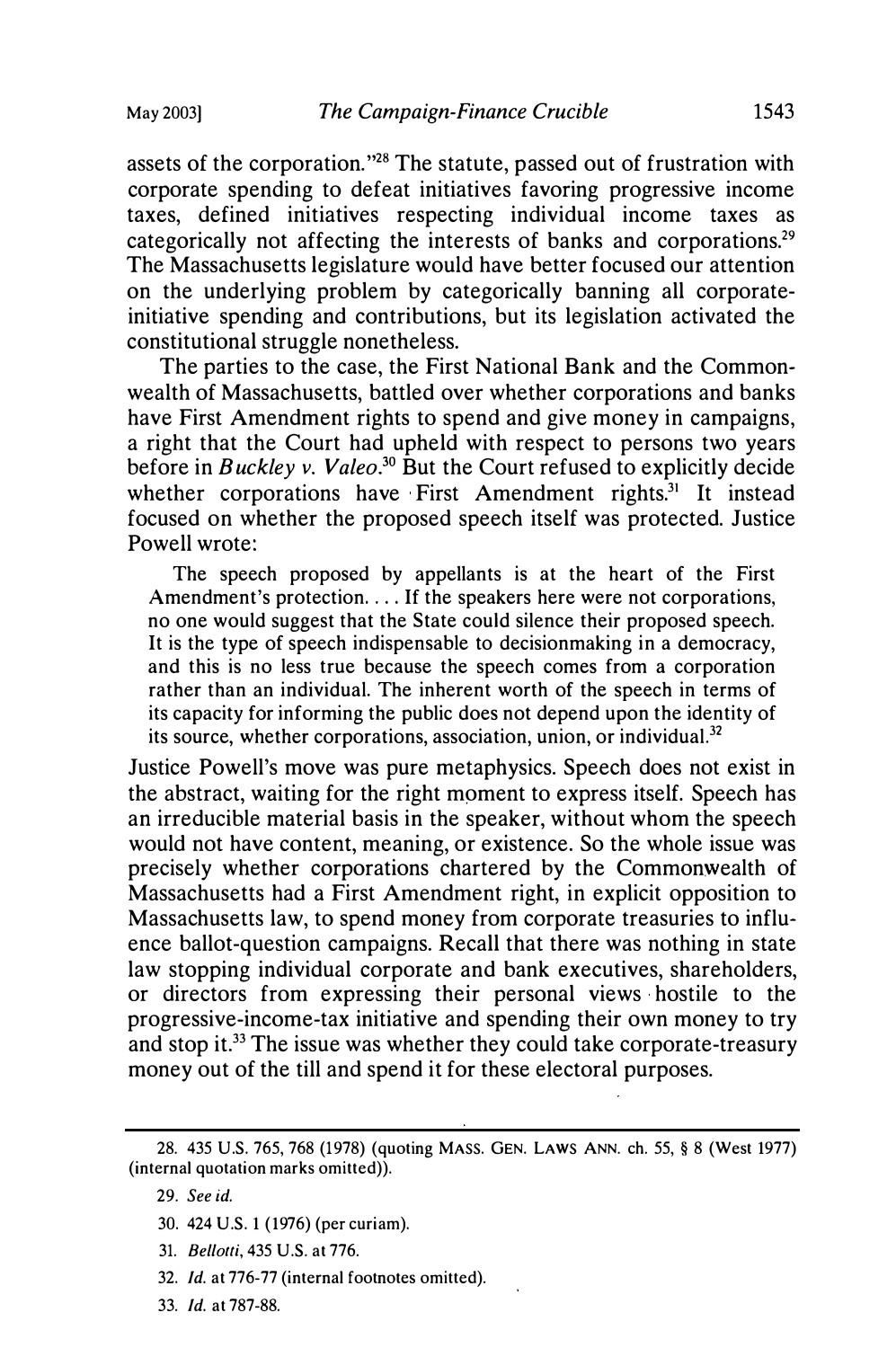assets of the corporation. "28 The statute, passed out of frustration with corporate spending to defeat initiatives favoring progressive income taxes, defined initiatives respecting individual income taxes as categorically not affecting the interests of banks and corporations.29 The Massachusetts legislature would have better focused our attention on the underlying problem by categorically banning all corporateinitiative spending and contributions, but its legislation activated the constitutional struggle nonetheless.

The parties to the case, the First National Bank and the Commonwealth of Massachusetts, battled over whether corporations and banks have First Amendment rights to spend and give money in campaigns, a right that the Court had upheld with respect to persons two years before in Buckley v. Valeo.<sup>30</sup> But the Court refused to explicitly decide whether corporations have First Amendment rights.<sup>31</sup> It instead focused on whether the proposed speech itself was protected. Justice Powell wrote:

The speech proposed by appellants is at the heart of the First Amendment's protection. . . . If the speakers here were not corporations, no one would suggest that the State could silence their proposed speech. It is the type of speech indispensable to decisionmaking in a democracy, and this is no less true because the speech comes from a corporation rather than an individual. The inherent worth of the speech in terms of its capacity for informing the public does not depend upon the identity of its source, whether corporations, association, union, or individual. $32$ 

Justice Powell's move was pure metaphysics. Speech does not exist in the abstract, waiting for the right moment to express itself. Speech has an irreducible material basis in the speaker, without whom the speech would not have content, meaning, or existence. So the whole issue was precisely whether corporations chartered by the Commonwealth of Massachusetts had a First Amendment right, in explicit opposition to Massachusetts law, to spend money from corporate treasuries to influence ballot-question campaigns. Recall that there was nothing in state law stopping individual corporate and bank executives, shareholders, or directors from expressing their personal views hostile to the progressive-income-tax initiative and spending their own money to try and stop it.<sup>33</sup> The issue was whether they could take corporate-treasury money out of the till and spend it for these electoral purposes.

- 31. Bellotti, 435 U.S. at 776.
- 32. Id. at 776-77 (internal footnotes omitted).
- 33. Id. at 787-88.

<sup>28. 435</sup> U.S. 765, 768 (1978) (quoting MASS. GEN. LAWS ANN. ch. 55, § 8 (West 1977) (internal quotation marks omitted)).

<sup>29.</sup> See id.

<sup>30. 424</sup> U.S. 1 (1976) (per curiam).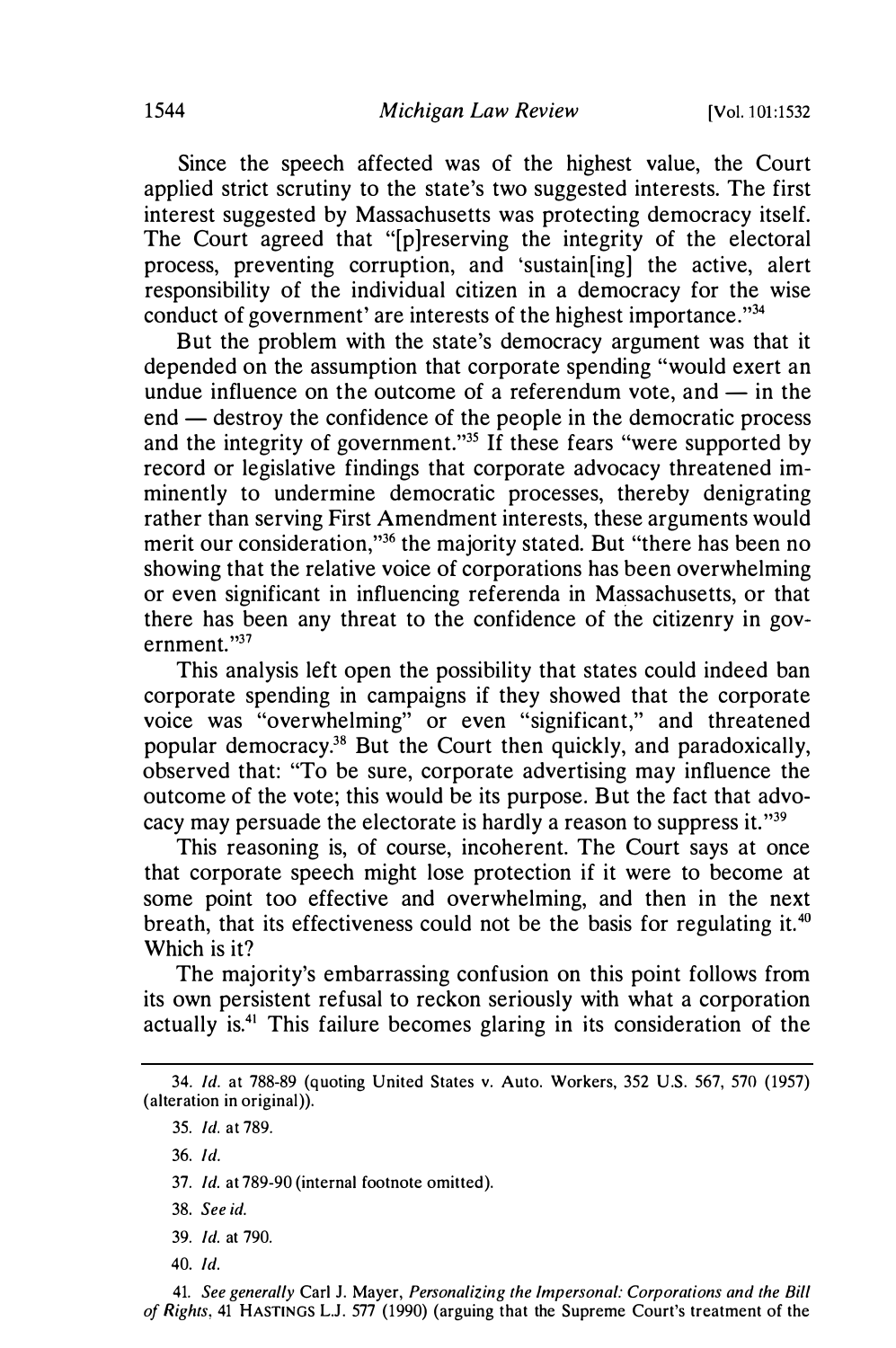Since the speech affected was of the highest value, the Court applied strict scrutiny to the state's two suggested interests. The first interest suggested by Massachusetts was protecting democracy itself. The Court agreed that "[p]reserving the integrity of the electoral process, preventing corruption, and 'sustain[ing] the active, alert responsibility of the individual citizen in a democracy for the wise conduct of government' are interests of the highest importance."34

But the problem with the state's democracy argument was that it depended on the assumption that corporate spending "would exert an undue influence on the outcome of a referendum vote, and  $-$  in the end — destroy the confidence of the people in the democratic process and the integrity of government."35 If these fears "were supported by record or legislative findings that corporate advocacy threatened imminently to undermine democratic processes, thereby denigrating rather than serving First Amendment interests, these arguments would merit our consideration,"36 the majority stated. But "there has been no showing that the relative voice of corporations has been overwhelming or even significant in influencing referenda in Massachusetts, or that there has been any threat to the confidence of the citizenry in government. "37

This analysis left open the possibility that states could indeed ban corporate spending in campaigns if they showed that the corporate voice was "overwhelming" or even "significant," and threatened popular democracy.38 But the Court then quickly, and paradoxically, observed that: "To be sure, corporate advertising may influence the outcome of the vote; this would be its purpose. But the fact that advocacy may persuade the electorate is hardly a reason to suppress it."39

This reasoning is, of course, incoherent. The Court says at once that corporate speech might lose protection if it were to become at some point too effective and overwhelming, and then in the next breath, that its effectiveness could not be the basis for regulating it.<sup>40</sup> Which is it?

The majority's embarrassing confusion on this point follows from its own persistent refusal to reckon seriously with what a corporation actually is.<sup>41</sup> This failure becomes glaring in its consideration of the

- 36. Id.
- 37. Id. at 789-90 (internal footnote omitted).

38. See id.

- 39. Id. at 790.
- 40. Id.

41. See generally Carl J. Mayer, Personalizing the Impersonal: Corporations and the Bill of Rights,  $41$  HASTINGS L.J. 577 (1990) (arguing that the Supreme Court's treatment of the

<sup>34.</sup> Id. at 788-89 (quoting United States v. Auto. Workers, 352 U.S. 567, 570 (1957) (alteration in original)).

<sup>35.</sup> Id. at 789.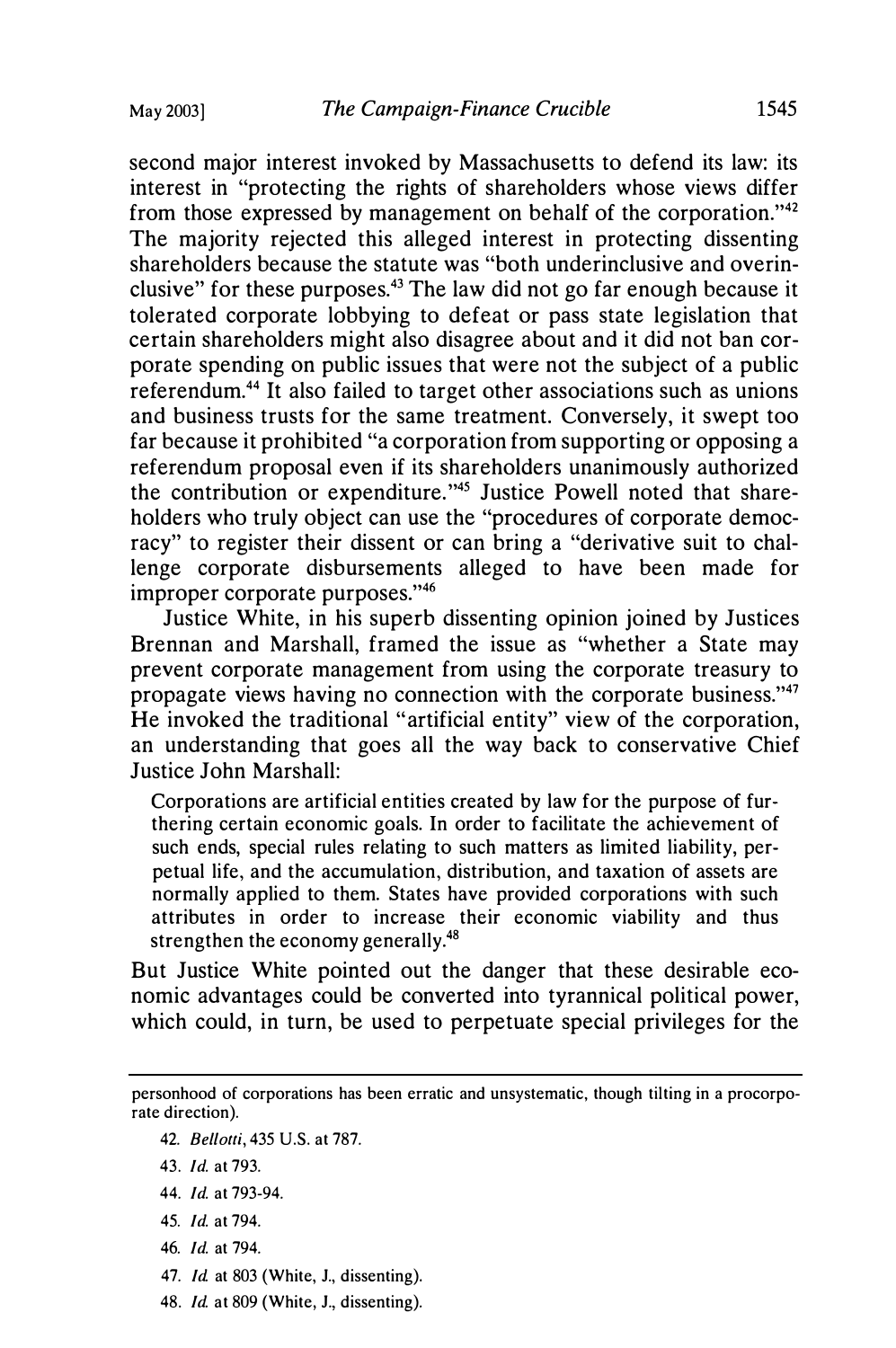second major interest invoked by Massachusetts to defend its law: its interest in "protecting the rights of shareholders whose views differ from those expressed by management on behalf of the corporation."42 The majority rejected this alleged interest in protecting dissenting shareholders because the statute was "both underinclusive and overinclusive" for these purposes.43 The law did not go far enough because it tolerated corporate lobbying to defeat or pass state legislation that certain shareholders might also disagree about and it did not ban corporate spending on public issues that were not the subject of a public referendum.44 It also failed to target other associations such as unions and business trusts for the same treatment. Conversely, it swept too far because it prohibited "a corporation from supporting or opposing a referendum proposal even if its shareholders unanimously authorized the contribution or expenditure."45 Justice Powell noted that shareholders who truly object can use the "procedures of corporate democracy" to register their dissent or can bring a "derivative suit to challenge corporate disbursements alleged to have been made for improper corporate purposes."46

Justice White, in his superb dissenting opinion joined by Justices Brennan and Marshall, framed the issue as "whether a State may prevent corporate management from using the corporate treasury to propagate views having no connection with the corporate business."47 He invoked the traditional "artificial entity" view of the corporation, an understanding that goes all the way back to conservative Chief Justice John Marshall:

Corporations are artificial entities created by law for the purpose of furthering certain economic goals. In order to facilitate the achievement of such ends, special rules relating to such matters as limited liability, perpetual life, and the accumulation, distribution, and taxation of assets are normally applied to them. States have provided corporations with such attributes in order to increase their economic viability and thus strengthen the economy generally.<sup>48</sup>

But Justice White pointed out the danger that these desirable economic advantages could be converted into tyrannical political power, which could, in turn, be used to perpetuate special privileges for the

- 42. Bellotti, 435 U.S. at 787.
- 43. Id. at 793.
- 44. Id. at 793-94.
- 45. Id. at 794.
- 46. Id. at 794.
- 47. Id. at 803 (White, J., dissenting).
- 48. Id. at 809 (White, J., dissenting).

personhood of corporations has been erratic and unsystematic, though tilting in a procorporate direction).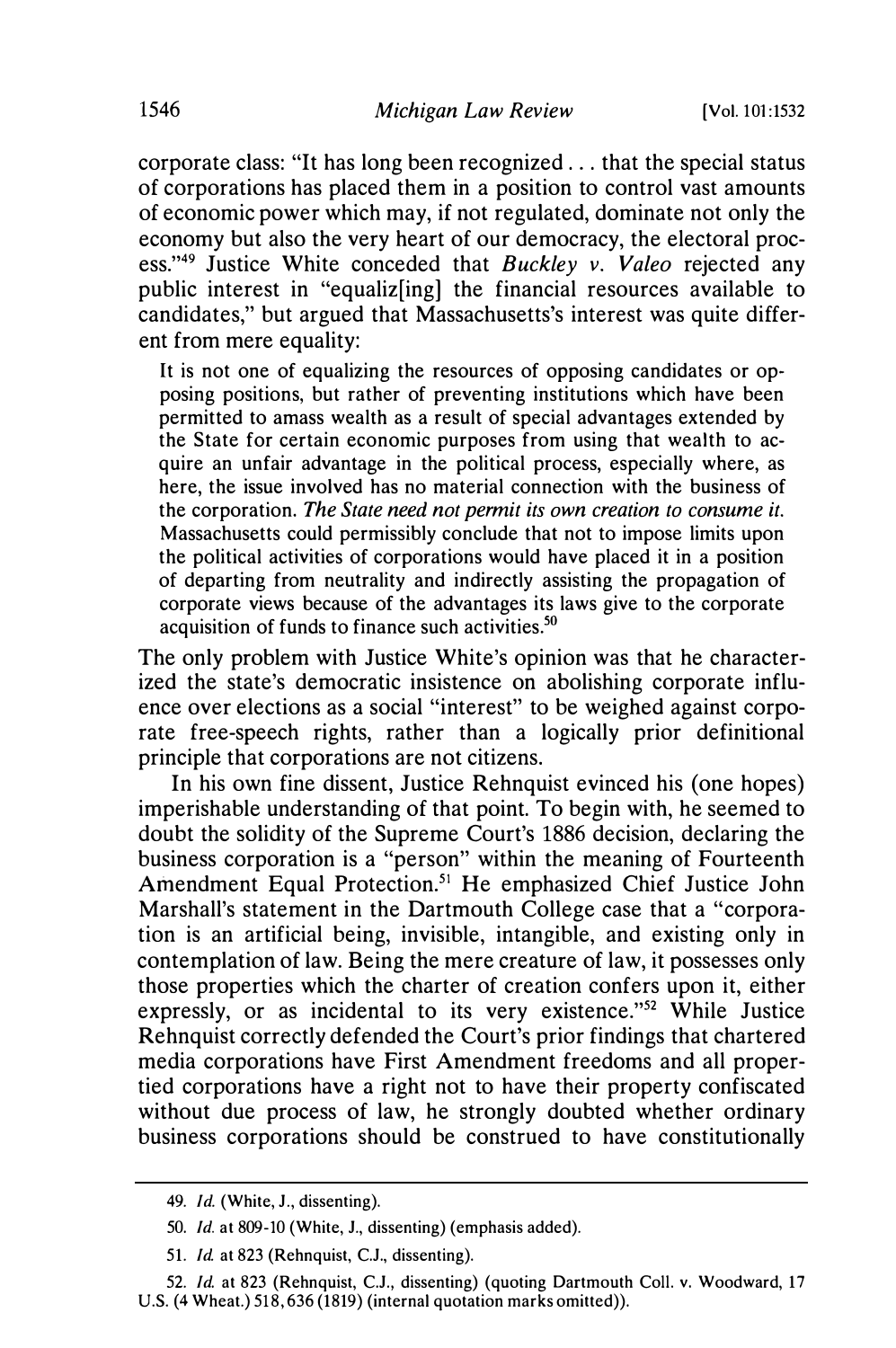corporate class: "It has long been recognized ... that the special status of corporations has placed them in a position to control vast amounts of economic power which may, if not regulated, dominate not only the economy but also the very heart of our democracy, the electoral process."<sup>49</sup> Justice White conceded that Buckley v. Valeo rejected any public interest in "equaliz[ing] the financial resources available to candidates," but argued that Massachusetts's interest was quite different from mere equality:

It is not one of equalizing the resources of opposing candidates or opposing positions, but rather of preventing institutions which have been permitted to amass wealth as a result of special advantages extended by the State for certain economic purposes from using that wealth to acquire an unfair advantage in the political process, especially where, as here, the issue involved has no material connection with the business of the corporation. The State need not permit its own creation to consume it. Massachusetts could permissibly conclude that not to impose limits upon the political activities of corporations would have placed it in a position of departing from neutrality and indirectly assisting the propagation of corporate views because of the advantages its laws give to the corporate acquisition of funds to finance such activities. 50

The only problem with Justice White's opinion was that he characterized the state's democratic insistence on abolishing corporate influence over elections as a social "interest" to be weighed against corporate free-speech rights, rather than a logically prior definitional principle that corporations are not citizens.

In his own fine dissent, Justice Rehnquist evinced his (one hopes) imperishable understanding of that point. To begin with, he seemed to doubt the solidity of the Supreme Court's 1886 decision, declaring the business corporation is a "person" within the meaning of Fourteenth Amendment Equal Protection.51 He emphasized Chief Justice John Marshall's statement in the Dartmouth College case that a "corporation is an artificial being, invisible, intangible, and existing only in contemplation of law. Being the mere creature of law, it possesses only those properties which the charter of creation confers upon it, either expressly, or as incidental to its very existence."52 While Justice Rehnquist correctly defended the Court's prior findings that chartered media corporations have First Amendment freedoms and all propertied corporations have a right not to have their property confiscated without due process of law, he strongly doubted whether ordinary business corporations should be construed to have constitutionally

<sup>49.</sup> Id. (White, J., dissenting).

<sup>50.</sup> Id. at 809-10 (White, J., dissenting) (emphasis added).

<sup>51.</sup> Id. at 823 (Rehnquist, C.J., dissenting).

<sup>52.</sup> Id. at 823 (Rehnquist, C.J., dissenting) (quoting Dartmouth Coll. v. Woodward, 17 U.S. (4 Wheat.) 518, 636 (1819) (internal quotation marks omitted)).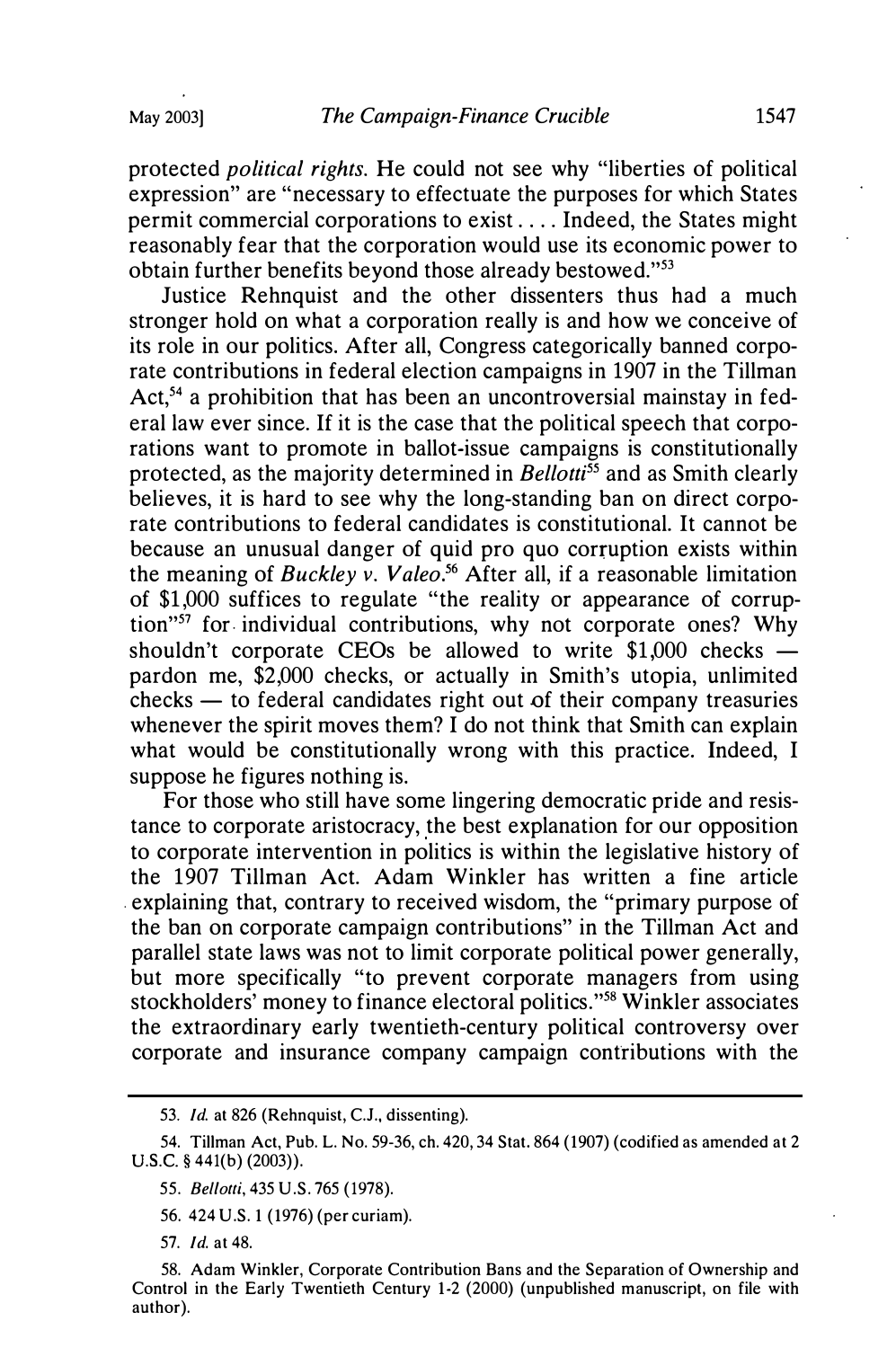protected political rights. He could not see why "liberties of political expression" are "necessary to effectuate the purposes for which States permit commercial corporations to exist .... Indeed, the States might reasonably fear that the corporation would use its economic power to obtain further benefits beyond those already bestowed."53

Justice Rehnquist and the other dissenters thus had a much stronger hold on what a corporation really is and how we conceive of its role in our politics. After all, Congress categorically banned corporate contributions in federal election campaigns in 1907 in the Tillman Act, $54$  a prohibition that has been an uncontroversial mainstay in federal law ever since. If it is the case that the political speech that corporations want to promote in ballot-issue campaigns is constitutionally protected, as the majority determined in Bellotti<sup>55</sup> and as Smith clearly believes, it is hard to see why the long-standing ban on direct corporate contributions to federal candidates is constitutional. It cannot be because an unusual danger of quid pro quo corruption exists within the meaning of Buckley v. Valeo.<sup>56</sup> After all, if a reasonable limitation of \$1,000 suffices to regulate "the reality or appearance of corruption"57 for. individual contributions, why not corporate ones? Why shouldn't corporate CEOs be allowed to write  $$1,000$  checks  $$ pardon me, \$2,000 checks, or actually in Smith's utopia, unlimited  $checks - to federal candidates right out of their company treasuries$ whenever the spirit moves them? I do not think that Smith can explain what would be constitutionally wrong with this practice. Indeed, I suppose he figures nothing is.

For those who still have some lingering democratic pride and resistance to corporate aristocracy, the best explanation for our opposition to corporate intervention in politics is within the legislative history of the 1907 Tillman Act. Adam Winkler has written a fine article . explaining that, contrary to received wisdom, the "primary purpose of the ban on corporate campaign contributions" in the Tillman Act and parallel state laws was not to limit corporate political power generally, but more specifically "to prevent corporate managers from using stockholders' money to finance electoral politics."<sup>58</sup> Winkler associates the extraordinary early twentieth-century political controversy over corporate and insurance company campaign contributions with the

<sup>53.</sup> Id. at 826 (Rehnquist, C.J., dissenting).

<sup>54.</sup> Tillman Act, Pub. L. No. 59-36, ch. 420, 34 Stat. 864 (1907) (codified as amended at 2 u.s.c. § 441(b) (2003)).

<sup>55.</sup> Bellotti, 435 U.S. 765 (1978).

<sup>56. 424</sup> U.S. 1 (1976) (per curiam).

<sup>57.</sup> Id. at 48.

<sup>58.</sup> Adam Winkler, Corporate Contribution Bans and the Separation of Ownership and Control in the Early Twentieth Century 1-2 (2000) (unpublished manuscript, on file with author).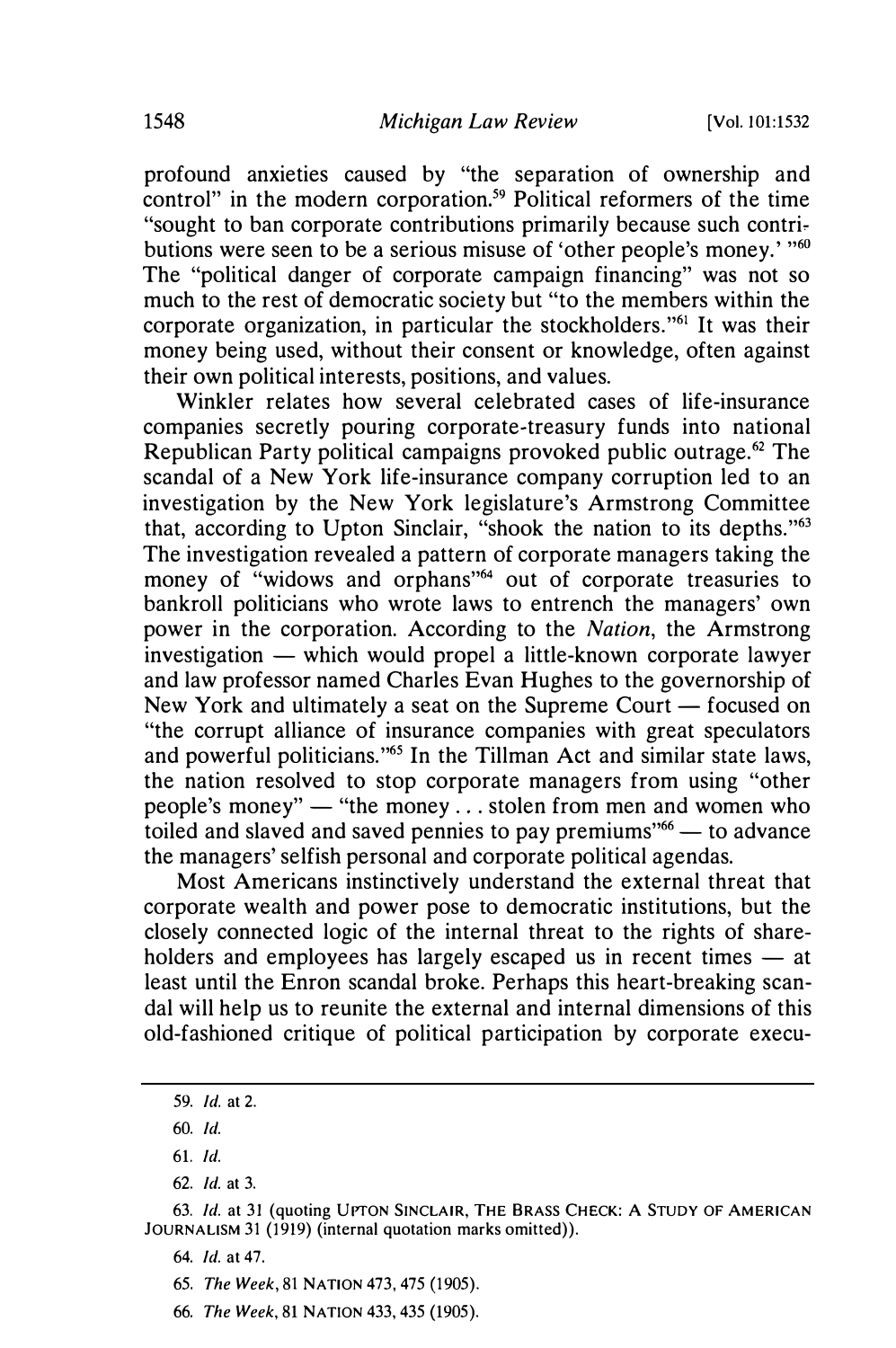profound anxieties caused by "the separation of ownership and control" in the modern corporation.<sup>59</sup> Political reformers of the time "sought to ban corporate contributions primarily because such contributions were seen to be a serious misuse of 'other people's money.' "<sup>60</sup> The "political danger of corporate campaign financing" was not so much to the rest of democratic society but "to the members within the corporate organization, in particular the stockholders."61 It was their money being used, without their consent or knowledge, often against their own political interests, positions, and values.

Winkler relates how several celebrated cases of life-insurance companies secretly pouring corporate-treasury funds into national Republican Party political campaigns provoked public outrage.<sup>62</sup> The scandal of a New York life-insurance company corruption led to an investigation by the New York legislature's Armstrong Committee that, according to Upton Sinclair, "shook the nation to its depths."63 The investigation revealed a pattern of corporate managers taking the money of "widows and orphans"<sup>64</sup> out of corporate treasuries to bankroll politicians who wrote laws to entrench the managers' own power in the corporation. According to the Nation, the Armstrong  $investigation$  — which would propel a little-known corporate lawyer and law professor named Charles Evan Hughes to the governorship of New York and ultimately a seat on the Supreme Court  $-$  focused on "the corrupt alliance of insurance companies with great speculators and powerful politicians. "65 In the Tillman Act and similar state laws, the nation resolved to stop corporate managers from using "other people's money" — "the money . . . stolen from men and women who toiled and slaved and saved pennies to pay premiums $"^{66}$  — to advance the managers' selfish personal and corporate political agendas.

Most Americans instinctively understand the external threat that corporate wealth and power pose to democratic institutions, but the closely connected logic of the internal threat to the rights of shareholders and employees has largely escaped us in recent times  $-$  at least until the Enron scandal broke. Perhaps this heart-breaking scandal will help us to reunite the external and internal dimensions of this old-fashioned critique of political participation by corporate execu-

<sup>59.</sup> Id. at 2.

<sup>60.</sup> Id.

<sup>61.</sup> Id.

<sup>62.</sup> Id. at 3.

<sup>63.</sup> Id. at 31 (quoting UPTON SINCLAIR, THE BRASS CHECK: A STUDY OF AMERICAN JOURNALISM 31 (1919) (internal quotation marks omitted)).

<sup>64.</sup> Id. at 47.

<sup>65.</sup> The Week, 81 NATION 473, 475 (1905).

<sup>66.</sup> The Week, 81 NATION 433, 435 (1905).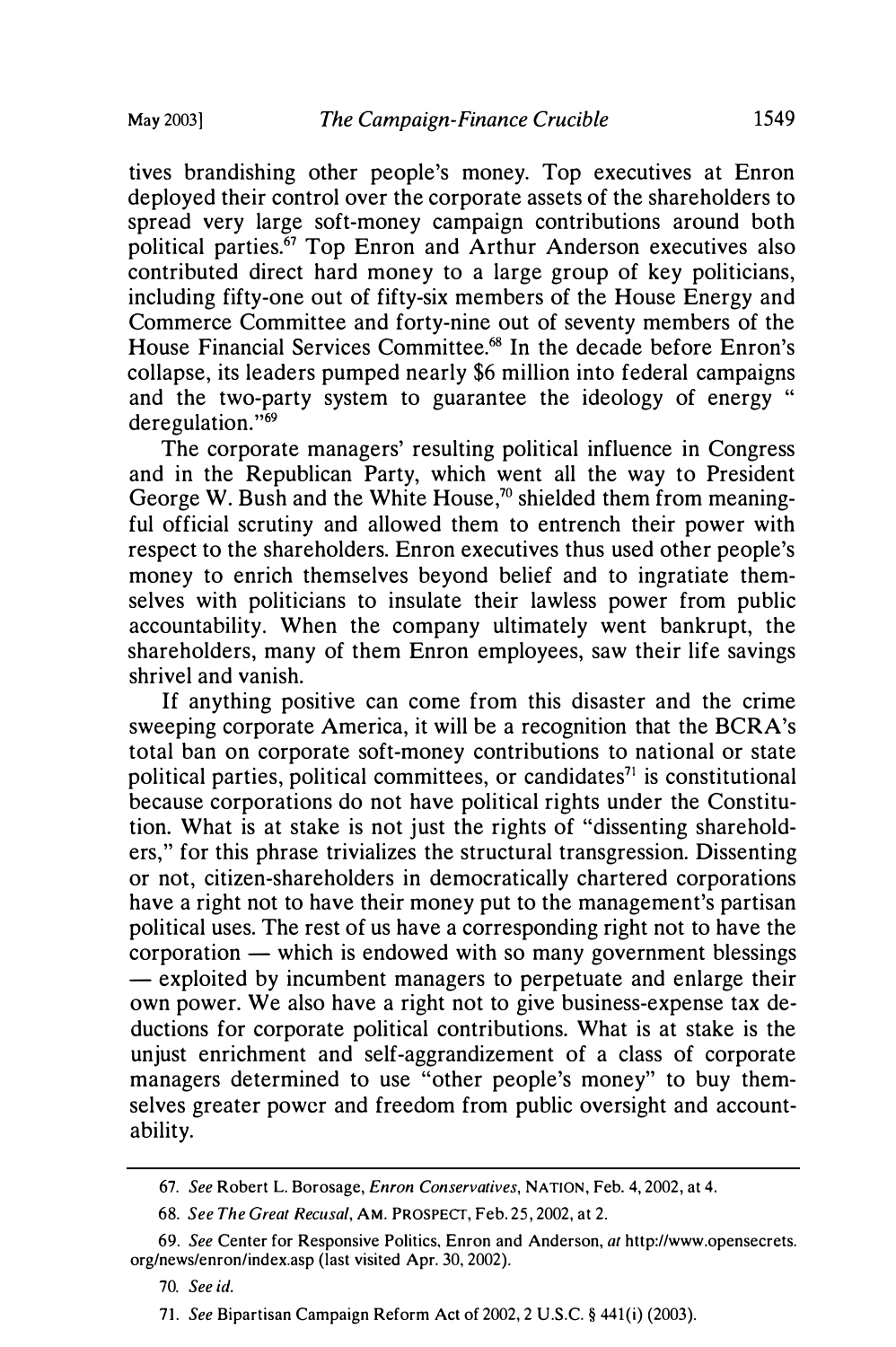tives brandishing other people's money. Top executives at Enron deployed their control over the corporate assets of the shareholders to spread very large soft-money campaign contributions around both political parties.67 Top Enron and Arthur Anderson executives also contributed direct hard money to a large group of key politicians, including fifty-one out of fifty-six members of the House Energy and Commerce Committee and forty-nine out of seventy members of the House Financial Services Committee.68 In the decade before Enron's collapse, its leaders pumped nearly \$6 million into federal campaigns and the two-party system to guarantee the ideology of energy " deregulation."69

The corporate managers' resulting political influence in Congress and in the Republican Party, which went all the way to President George W. Bush and the White House, $70$  shielded them from meaningful official scrutiny and allowed them to entrench their power with respect to the shareholders. Enron executives thus used other people's money to enrich themselves beyond belief and to ingratiate themselves with politicians to insulate their lawless power from public accountability. When the company ultimately went bankrupt, the shareholders, many of them Enron employees, saw their life savings shrivel and vanish.

If anything positive can come from this disaster and the crime sweeping corporate America, it will be a recognition that the BCRA's total ban on corporate soft-money contributions to national or state political parties, political committees, or candidates $\frac{1}{1}$  is constitutional because corporations do not have political rights under the Constitution. What is at stake is not just the rights of "dissenting shareholders," for this phrase trivializes the structural transgression. Dissenting or not, citizen-shareholders in democratically chartered corporations have a right not to have their money put to the management's partisan political uses. The rest of us have a corresponding right not to have the  $corportion$   $\rightarrow$  which is endowed with so many government blessings  $-$  exploited by incumbent managers to perpetuate and enlarge their own power. We also have a right not to give business-expense tax deductions for corporate political contributions. What is at stake is the unjust enrichment and self-aggrandizement of a class of corporate managers determined to use "other people's money" to buy themselves greater power and freedom from public oversight and accountability.

<sup>67.</sup> See Robert L. Borosage, Enron Conservatives, NATION, Feb. 4, 2002, at 4.

<sup>68.</sup> See The Great Recusal, AM. PROSPECT, Feb. 25, 2002, at 2.

<sup>69.</sup> See Center for Responsive Politics, Enron and Anderson, at http://www.opensecrets. org/news/enron/index.asp (last visited Apr. 30, 2002).

<sup>70.</sup> See id.

<sup>71.</sup> See Bipartisan Campaign Reform Act of 2002, 2 U.S.C. § 44 1(i) (2003).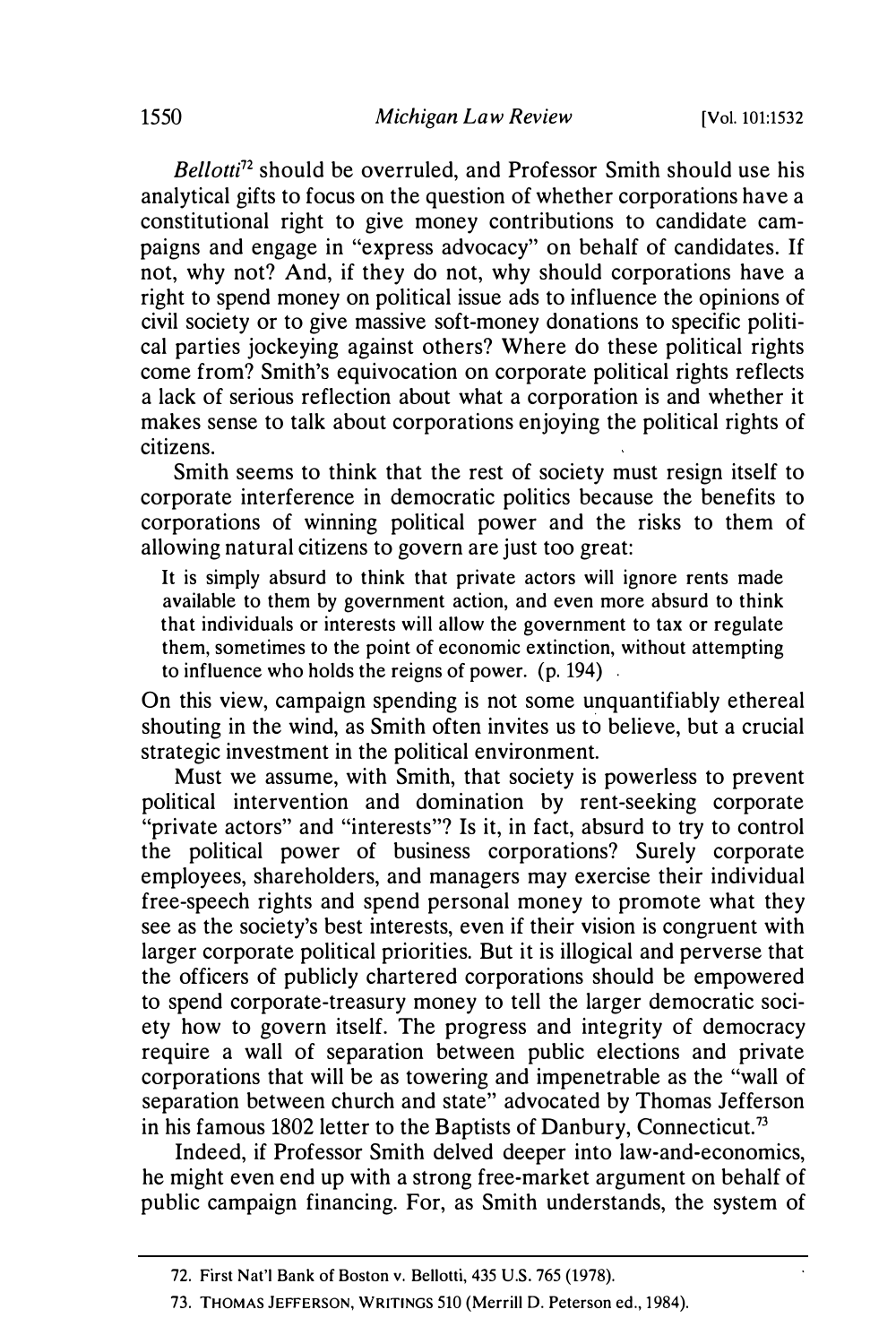Bellotti<sup>72</sup> should be overruled, and Professor Smith should use his analytical gifts to focus on the question of whether corporations have a constitutional right to give money contributions to candidate campaigns and engage in "express advocacy" on behalf of candidates. If not, why not? And, if they do not, why should corporations have a right to spend money on political issue ads to influence the opinions of civil society or to give massive soft-money donations to specific political parties jockeying against others? Where do these political rights come from? Smith's equivocation on corporate political rights reflects a lack of serious reflection about what a corporation is and whether it makes sense to talk about corporations enjoying the political rights of citizens.

Smith seems to think that the rest of society must resign itself to corporate interference in democratic politics because the benefits to corporations of winning political power and the risks to them of allowing natural citizens to govern are just too great:

It is simply absurd to think that private actors will ignore rents made available to them by government action, and even more absurd to think that individuals or interests will allow the government to tax or regulate them, sometimes to the point of economic extinction, without attempting to influence who holds the reigns of power. (p. 194) .

On this view, campaign spending is not some unquantifiably ethereal shouting in the wind, as Smith often invites us to believe, but a crucial strategic investment in the political environment.

Must we assume, with Smith, that society is powerless to prevent political intervention and domination by rent-seeking corporate "private actors" and "interests"? Is it, in fact, absurd to try to control the political power of business corporations? Surely corporate employees, shareholders, and managers may exercise their individual free-speech rights and spend personal money to promote what they see as the society's best interests, even if their vision is congruent with larger corporate political priorities. But it is illogical and perverse that the officers of publicly chartered corporations should be empowered to spend corporate-treasury money to tell the larger democratic society how to govern itself. The progress and integrity of democracy require a wall of separation between public elections and private corporations that will be as towering and impenetrable as the "wall of separation between church and state" advocated by Thomas Jefferson in his famous 1802 letter to the Baptists of Danbury, Connecticut.<sup>73</sup>

Indeed, if Professor Smith delved deeper into law-and-economics, he might even end up with a strong free-market argument on behalf of public campaign financing. For, as Smith understands, the system of

<sup>72.</sup> First Nat'l Bank of Boston v. Bellotti, 435 U.S. 765 (1978).

<sup>73.</sup> THOMAS JEFFERSON, WRITINGS 510 (Merrill D. Peterson ed., 1984).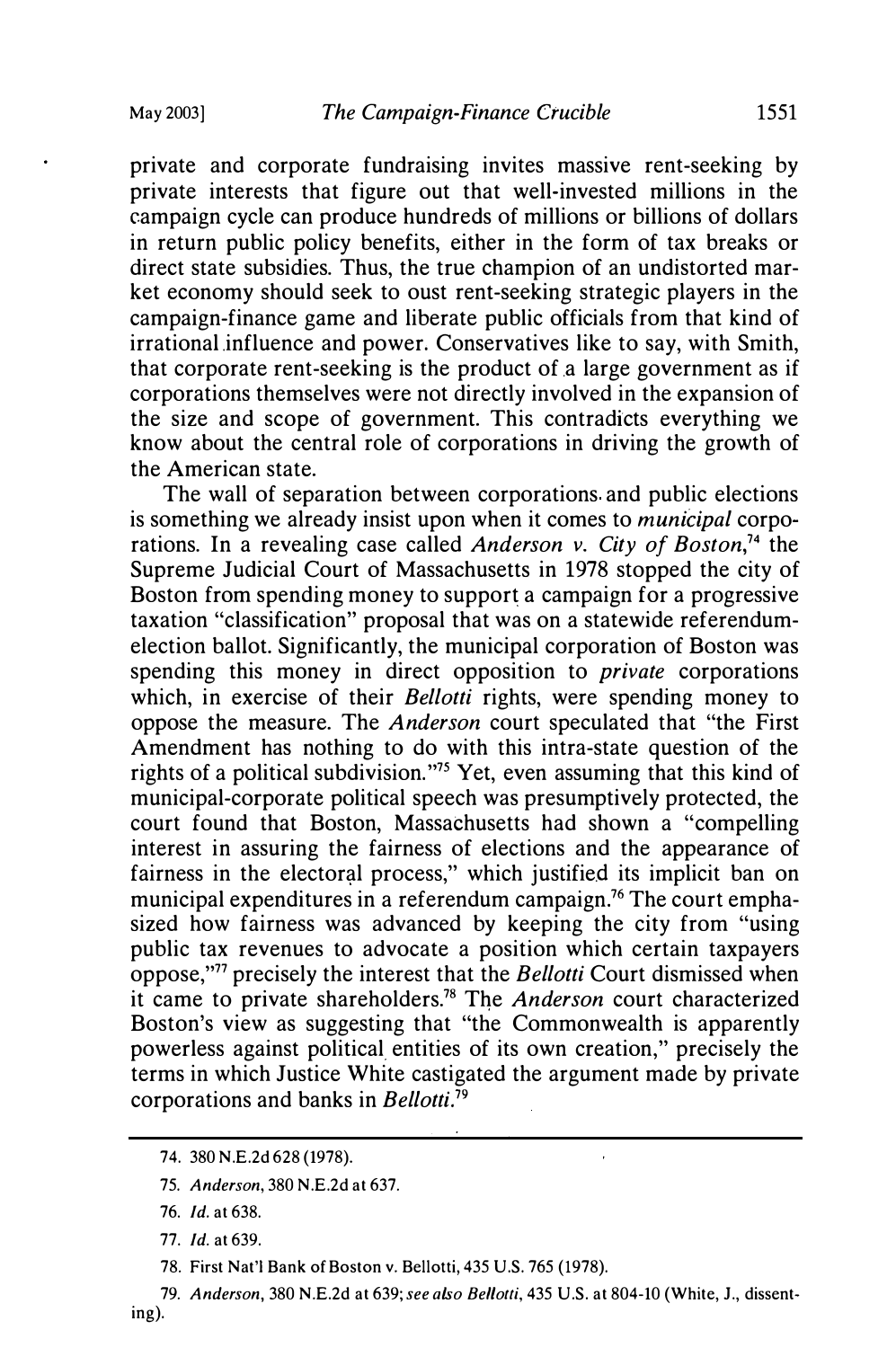private and corporate fundraising invites massive rent-seeking by private interests that figure out that well-invested millions in the campaign cycle can produce hundreds of millions or billions of dollars in return public policy benefits, either in the form of tax breaks or direct state subsidies. Thus, the true champion of an undistorted market economy should seek to oust rent-seeking strategic players in the campaign-finance game and liberate public officials from that kind of irrational influence and power. Conservatives like to say, with Smith, that corporate rent-seeking is the product of a large government as if corporations themselves were not directly involved in the expansion of the size and scope of government. This contradicts everything we know about the central role of corporations in driving the growth of the American state.

The wall of separation between corporations and public elections is something we already insist upon when it comes to *municipal* corporations. In a revealing case called Anderson v. City of Boston,<sup>74</sup> the Supreme Judicial Court of Massachusetts in 1978 stopped the city of Boston from spending money to support a campaign for a progressive taxation "classification" proposal that was on a statewide referendumelection ballot. Significantly, the municipal corporation of Boston was spending this money in direct opposition to *private* corporations which, in exercise of their *Bellotti* rights, were spending money to oppose the measure. The Anderson court speculated that "the First Amendment has nothing to do with this intra-state question of the rights of a political subdivision. "75 Yet, even assuming that this kind of municipal-corporate political speech was presumptively protected, the court found that Boston, Massachusetts had shown a "compelling interest in assuring the fairness of elections and the appearance of fairness in the electoral process," which justified its implicit ban on municipal expenditures in a referendum campaign.76 The court emphasized how fairness was advanced by keeping the city from "using public tax revenues to advocate a position which certain taxpayers oppose,"77 precisely the interest that the Bellotti Court dismissed when it came to private shareholders.78 The Anderson court characterized Boston's view as suggesting that "the Commonwealth is apparently powerless against political entities of its own creation," precisely the terms in which Justice White castigated the argument made by private corporations and banks in Bellotti.<sup>79</sup>

<sup>74. 380</sup> N.E.2d 628 (1978).

<sup>75.</sup> Anderson, 380 N.E.2d at 637.

<sup>76.</sup> Id. at 638.

<sup>77.</sup> Id. at 639.

<sup>78.</sup> First Nat'! Bank of Boston v. Bellotti, 435 U.S. 765 (1978).

<sup>79.</sup> Anderson, 380 N.E.2d at 639; see also Bellotti, 435 U.S. at 804-10 (White, J., dissenting).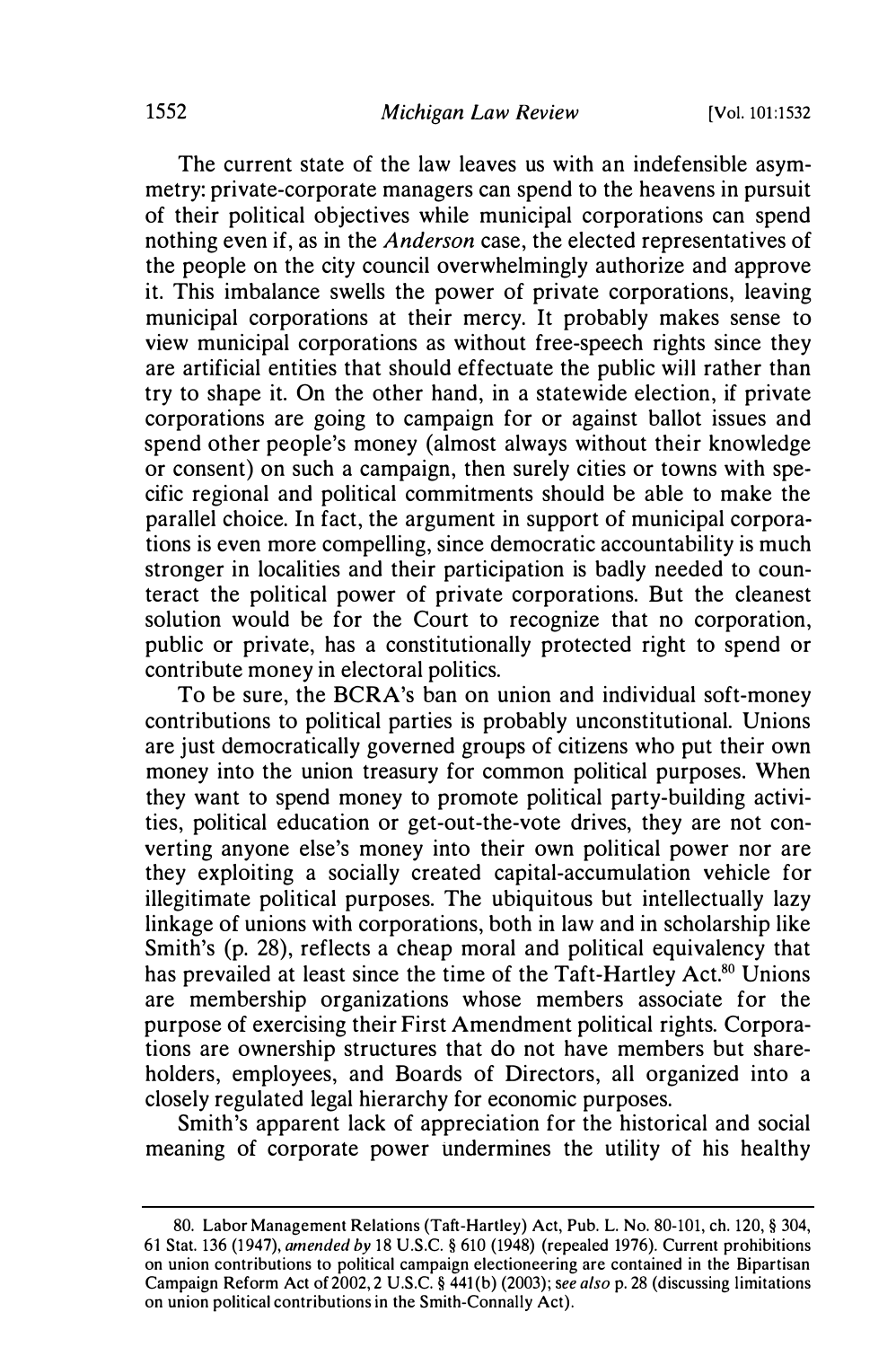The current state of the law leaves us with an indefensible asymmetry: private-corporate managers can spend to the heavens in pursuit of their political objectives while municipal corporations can spend nothing even if, as in the Anderson case, the elected representatives of the people on the city council overwhelmingly authorize and approve it. This imbalance swells the power of private corporations, leaving municipal corporations at their mercy. It probably makes sense to view municipal corporations as without free-speech rights since they are artificial entities that should effectuate the public will rather than try to shape it. On the other hand, in a statewide election, if private corporations are going to campaign for or against ballot issues and spend other people's money (almost always without their knowledge or consent) on such a campaign, then surely cities or towns with specific regional and political commitments should be able to make the parallel choice. In fact, the argument in support of municipal corporations is even more compelling, since democratic accountability is much stronger in localities and their participation is badly needed to counteract the political power of private corporations. But the cleanest solution would be for the Court to recognize that no corporation, public or private, has a constitutionally protected right to spend or contribute money in electoral politics.

To be sure, the BCRA's ban on union and individual soft-money contributions to political parties is probably unconstitutional. Unions are just democratically governed groups of citizens who put their own money into the union treasury for common political purposes. When they want to spend money to promote political party-building activities, political education or get-out-the-vote drives, they are not converting anyone else's money into their own political power nor are they exploiting a socially created capital-accumulation vehicle for illegitimate political purposes. The ubiquitous but intellectually lazy linkage of unions with corporations, both in law and in scholarship like Smith's (p. 28), reflects a cheap moral and political equivalency that has prevailed at least since the time of the Taft-Hartley Act.<sup>80</sup> Unions are membership organizations whose members associate for the purpose of exercising their First Amendment political rights. Corporations are ownership structures that do not have members but shareholders, employees, and Boards of Directors, all organized into a closely regulated legal hierarchy for economic purposes.

Smith's apparent lack of appreciation for the historical and social meaning of corporate power undermines the utility of his healthy

<sup>80.</sup> Labor Management Relations (Taft-Hartley) Act, Pub. L. No. 80-101, ch. 120, § 304, 61 Stat. 136 (1947), amended by 18 U.S.C. § 610 (1948) (repealed 1976). Current prohibitions on union contributions to political campaign electioneering are contained in the Bipartisan Campaign Reform Act of 2002, 2 U.S.C. § 441(b) (2003); see also p. 28 (discussing limitations on union political contributions in the Smith-Connally Act).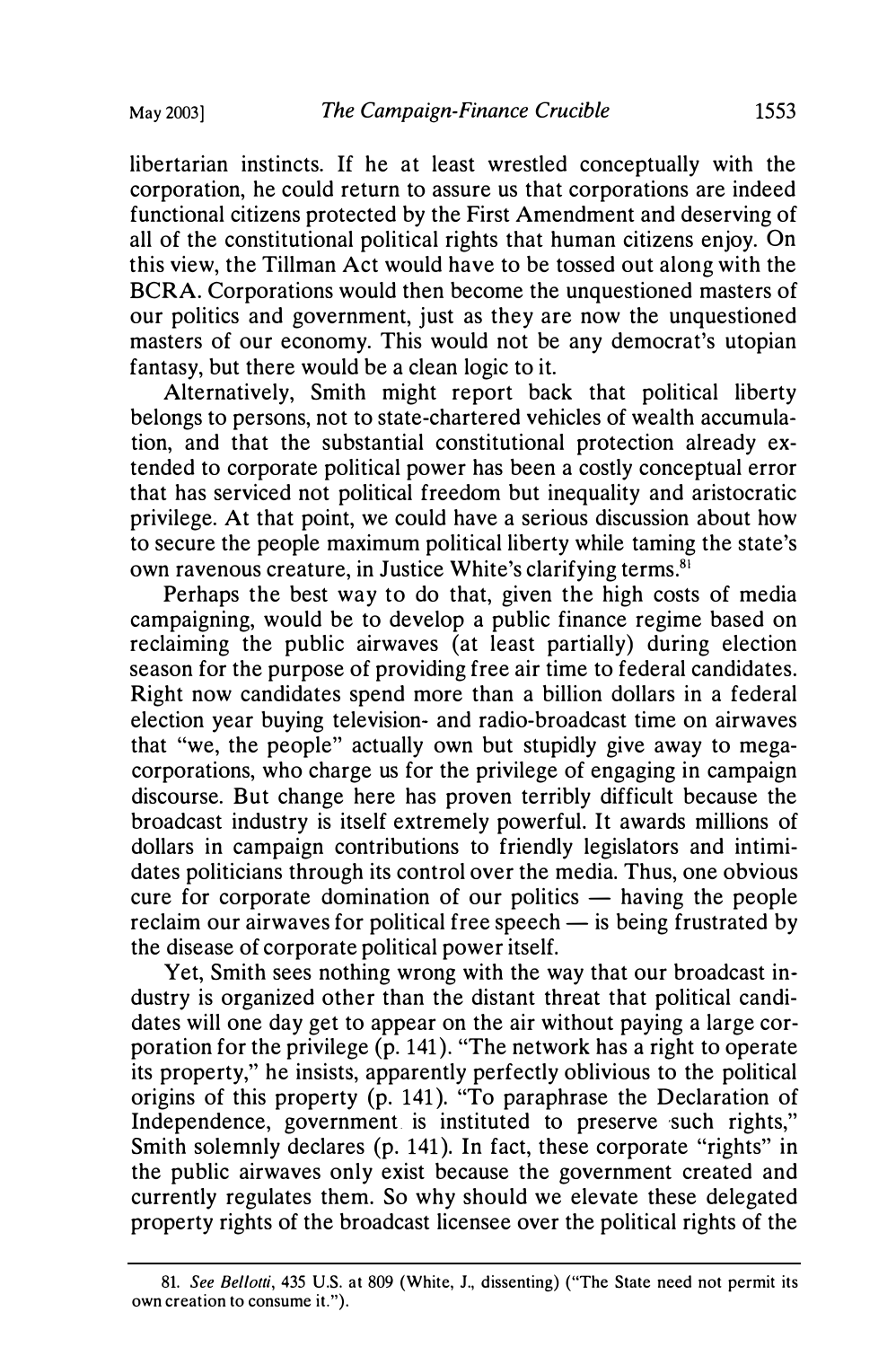libertarian instincts. If he at least wrestled conceptually with the corporation, he could return to assure us that corporations are indeed functional citizens protected by the First Amendment and deserving of all of the constitutional political rights that human citizens enjoy. On this view, the Tillman Act would have to be tossed out along with the BCRA. Corporations would then become the unquestioned masters of our politics and government, just as they are now the unquestioned masters of our economy. This would not be any democrat's utopian fantasy, but there would be a clean logic to it.

Alternatively, Smith might report back that political liberty belongs to persons, not to state-chartered vehicles of wealth accumulation, and that the substantial constitutional protection already extended to corporate political power has been a costly conceptual error that has serviced not political freedom but inequality and aristocratic privilege. At that point, we could have a serious discussion about how to secure the people maximum political liberty while taming the state's own ravenous creature, in Justice White's clarifying terms.<sup>81</sup>

Perhaps the best way to do that, given the high costs of media campaigning, would be to develop a public finance regime based on reclaiming the public airwaves (at least partially) during election season for the purpose of providing free air time to federal candidates. Right now candidates spend more than a billion dollars in a federal election year buying television- and radio-broadcast time on airwaves that "we, the people" actually own but stupidly give away to megacorporations, who charge us for the privilege of engaging in campaign discourse. But change here has proven terribly difficult because the broadcast industry is itself extremely powerful. It awards millions of dollars in campaign contributions to friendly legislators and intimidates politicians through its control over the media. Thus, one obvious  $cure for corporate domination of our politics — having the people$ reclaim our airwaves for political free speech  $-$  is being frustrated by the disease of corporate political power itself.

Yet, Smith sees nothing wrong with the way that our broadcast industry is organized other than the distant threat that political candidates will one day get to appear on the air without paying a large corporation for the privilege (p. 141). "The network has a right to operate its property," he insists, apparently perfectly oblivious to the political origins of this property (p. 141). "To paraphrase the Declaration of Independence, government is instituted to preserve such rights," Smith solemnly declares (p. 141). In fact, these corporate "rights" in the public airwaves only exist because the government created and currently regulates them. So why should we elevate these delegated property rights of the broadcast licensee over the political rights of the

<sup>81.</sup> See Bellotti, 435 U.S. at 809 (White, J., dissenting) ("The State need not permit its own creation to consume it.").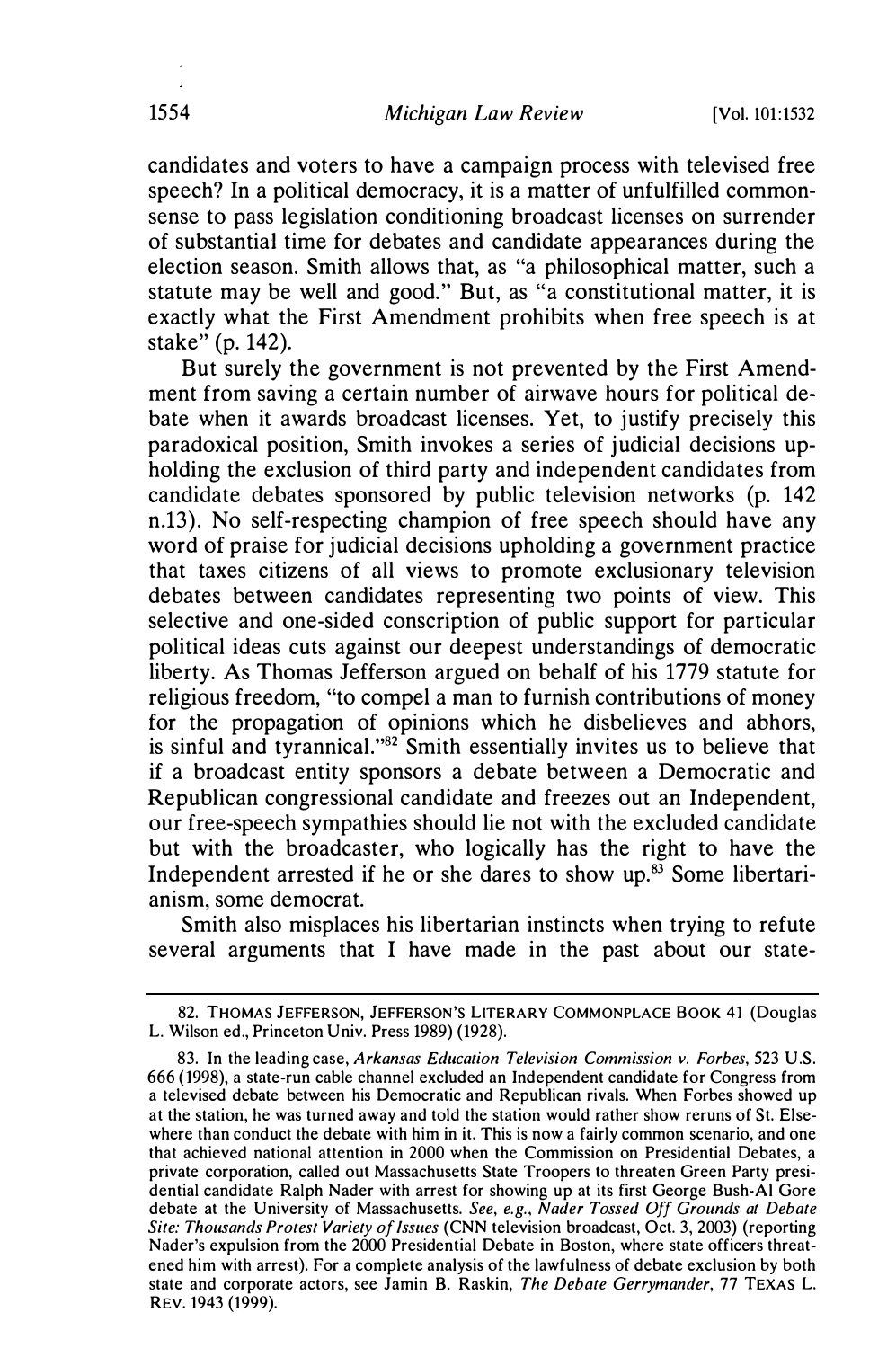candidates and voters to have a campaign process with televised free speech? In a political democracy, it is a matter of unfulfilled commonsense to pass legislation conditioning broadcast licenses on surrender of substantial time for debates and candidate appearances during the election season. Smith allows that, as "a philosophical matter, such a statute may be well and good." But, as "a constitutional matter, it is exactly what the First Amendment prohibits when free speech is at stake" (p. 142).

But surely the government is not prevented by the First Amendment from saving a certain number of airwave hours for political debate when it awards broadcast licenses. Yet, to justify precisely this paradoxical position, Smith invokes a series of judicial decisions upholding the exclusion of third party and independent candidates from candidate debates sponsored by public television networks (p. 142 n.13). No self-respecting champion of free speech should have any word of praise for judicial decisions upholding a government practice that taxes citizens of all views to promote exclusionary television debates between candidates representing two points of view. This selective and one-sided conscription of public support for particular political ideas cuts against our deepest understandings of democratic liberty. As Thomas Jefferson argued on behalf of his 1779 statute for religious freedom, "to compel a man to furnish contributions of money for the propagation of opinions which he disbelieves and abhors, is sinful and tyrannical."<sup>82</sup> Smith essentially invites us to believe that if a broadcast entity sponsors a debate between a Democratic and Republican congressional candidate and freezes out an Independent, our free-speech sympathies should lie not with the excluded candidate but with the broadcaster, who logically has the right to have the Independent arrested if he or she dares to show up. $83$  Some libertarianism, some democrat.

Smith also misplaces his libertarian instincts when trying to refute several arguments that I have made in the past about our state-

<sup>82.</sup> THOMAS JEFFERSON, JEFFERSON'S LITERARY COMMONPLACE BOOK 41 (Douglas L. Wilson ed., Princeton Univ. Press 1989) (1928).

<sup>83.</sup> In the leading case, Arkansas Education Television Commission v. Forbes, 523 U.S. 666 (1998), a state-run cable channel excluded an Independent candidate for Congress from a televised debate between his Democratic and Republican rivals. When Forbes showed up at the station, he was turned away and told the station would rather show reruns of St. Elsewhere than conduct the debate with him in it. This is now a fairly common scenario, and one that achieved national attention in 2000 when the Commission on Presidential Debates, a private corporation, called out Massachusetts State Troopers to threaten Green Party presidential candidate Ralph Nader with arrest for showing up at its first George Bush-Al Gore debate at the University of Massachusetts. See, e.g., Nader Tossed Off Grounds at Debate Site: Thousands Protest Variety of Issues (CNN television broadcast, Oct. 3, 2003) (reporting Nader's expulsion from the 2000 Presidential Debate in Boston, where state officers threatened him with arrest). For a complete analysis of the lawfulness of debate exclusion by both state and corporate actors, see Jamin B. Raskin, The Debate Gerrymander, 77 TEXAS L. REV. 1943 (1999).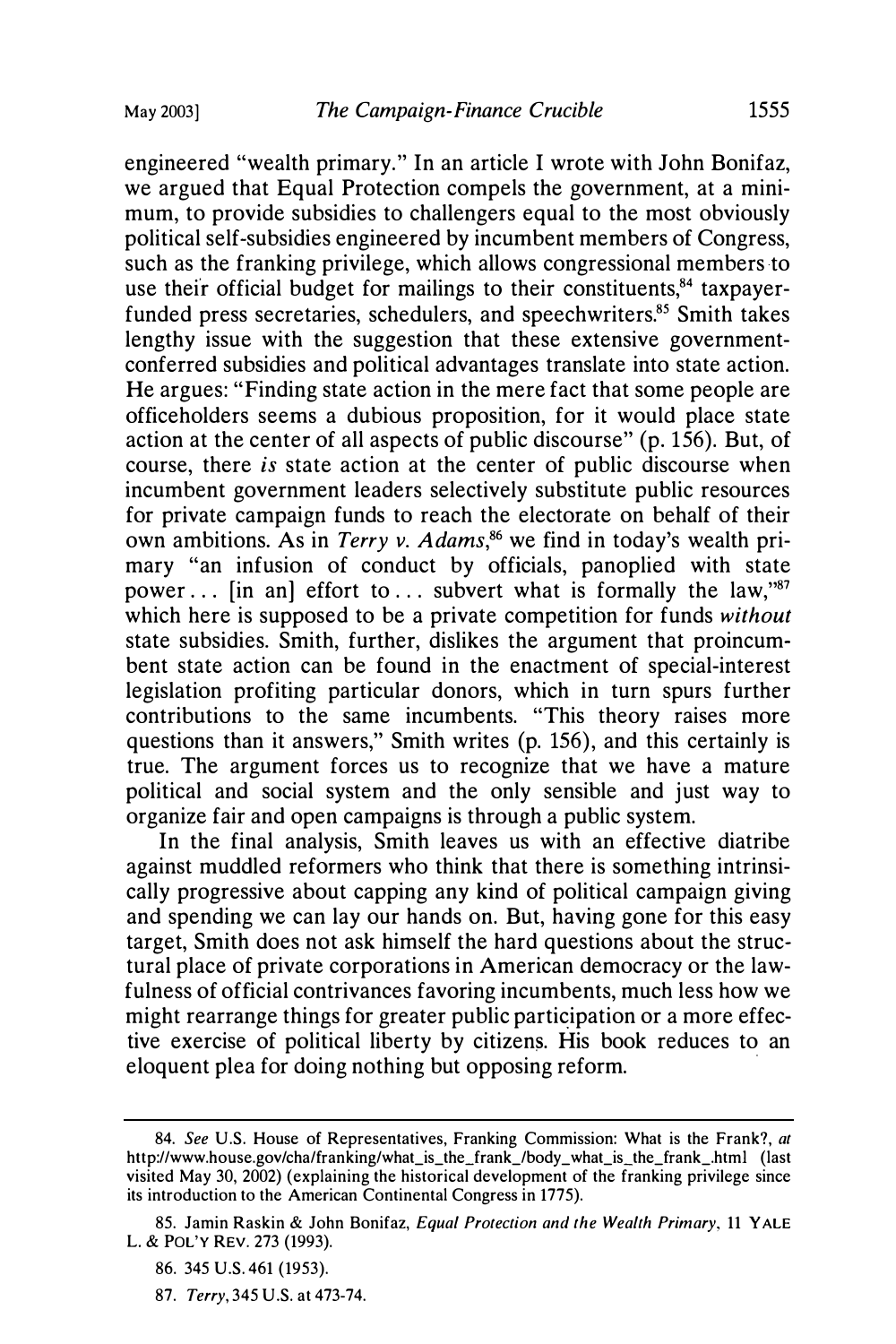engineered "wealth primary." In an article I wrote with John Bonifaz, we argued that Equal Protection compels the government, at a minimum, to provide subsidies to challengers equal to the most obviously political self-subsidies engineered by incumbent members of Congress, such as the franking privilege, which allows congressional members to use their official budget for mailings to their constituents, $84$  taxpayerfunded press secretaries, schedulers, and speechwriters.<sup>85</sup> Smith takes lengthy issue with the suggestion that these extensive governmentconferred subsidies and political advantages translate into state action. He argues: "Finding state action in the mere fact that some people are officeholders seems a dubious proposition, for it would place state action at the center of all aspects of public discourse" (p. 156). But, of course, there is state action at the center of public discourse when incumbent government leaders selectively substitute public resources for private campaign funds to reach the electorate on behalf of their own ambitions. As in *Terry v. Adams*,<sup>86</sup> we find in today's wealth primary "an infusion of conduct by officials, panoplied with state power ... [in an] effort to ... subvert what is formally the law,"87 which here is supposed to be a private competition for funds without state subsidies. Smith, further, dislikes the argument that proincumbent state action can be found in the enactment of special-interest legislation profiting particular donors, which in turn spurs further contributions to the same incumbents. "This theory raises more questions than it answers," Smith writes (p. 156), and this certainly is true. The argument forces us to recognize that we have a mature political and social system and the only sensible and just way to organize fair and open campaigns is through a public system.

In the final analysis, Smith leaves us with an effective diatribe against muddled reformers who think that there is something intrinsically progressive about capping any kind of political campaign giving and spending we can lay our hands on. But, having gone for this easy target, Smith does not ask himself the hard questions about the structural place of private corporations in American democracy or the lawfulness of official contrivances favoring incumbents, much less how we might rearrange things for greater public participation or a more effective exercise of political liberty by citizen�. His book reduces to an eloquent plea for doing nothing but opposing reform.

<sup>84.</sup> See U.S. House of Representatives, Franking Commission: What is the Frank?, at http://www.house.gov/cha/franking/what\_is\_the\_frank\_/body\_what\_is\_the\_frank\_.html (last visited May 30, 2002) (explaining the historical development of the franking privilege since its introduction to the American Continental Congress in 1775).

<sup>85.</sup> Jamin Raskin & John Bonifaz, Equal Protection and the Wealth Primary, 11 Y ALE L. & POL'Y REV. 273 (1993).

<sup>86. 345</sup> U.S. 461 (1953).

<sup>87.</sup> Terry, 345 U.S. at 473-74.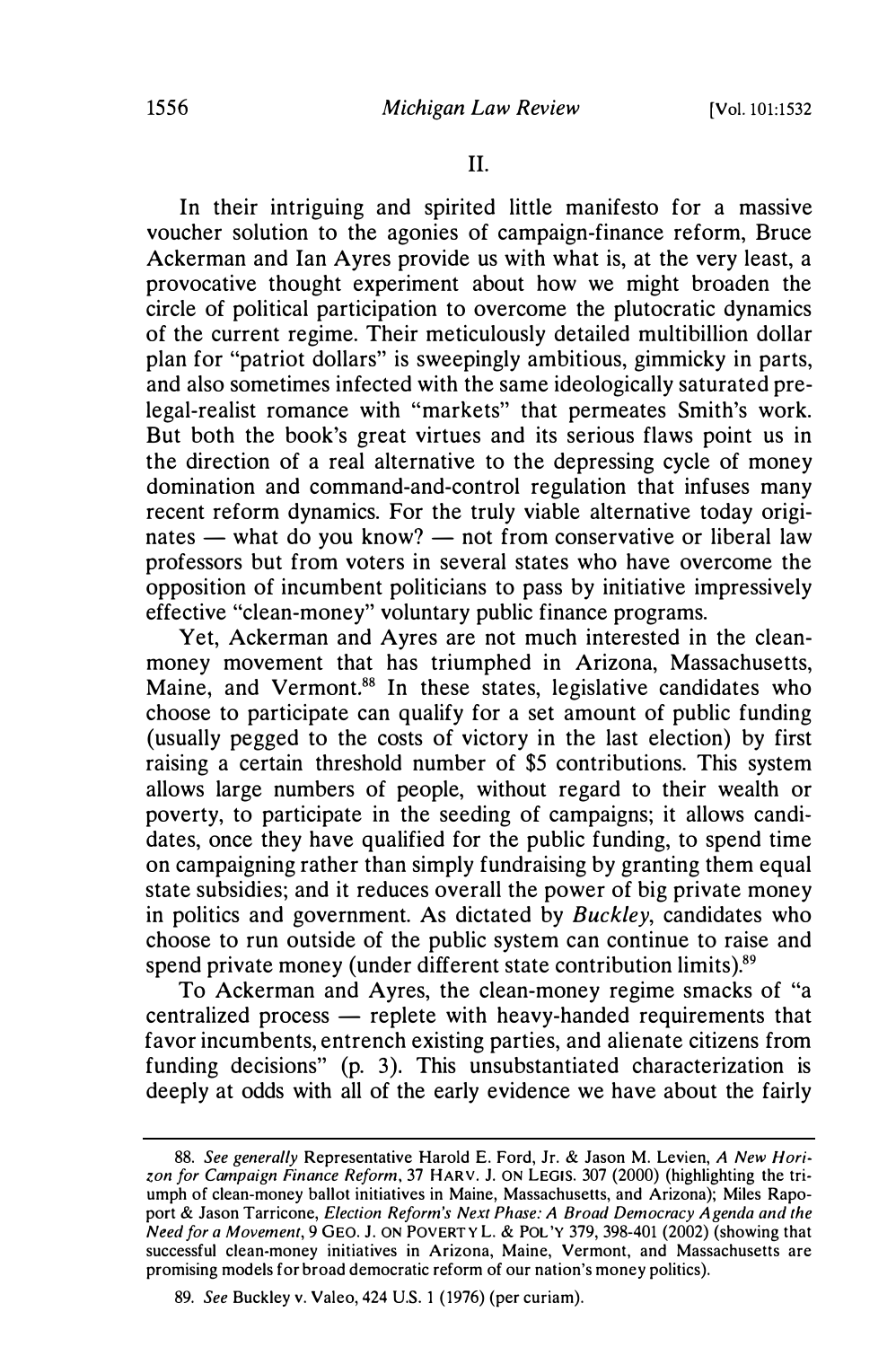In their intriguing and spirited little manifesto for a massive voucher solution to the agonies of campaign-finance reform, Bruce Ackerman and Ian Ayres provide us with what is, at the very least, a provocative thought experiment about how we might broaden the circle of political participation to overcome the plutocratic dynamics of the current regime. Their meticulously detailed multibillion dollar plan for "patriot dollars" is sweepingly ambitious, gimmicky in parts, and also sometimes infected with the same ideologically saturated prelegal-realist romance with "markets" that permeates Smith's work. But both the book's great virtues and its serious flaws point us in the direction of a real alternative to the depressing cycle of money domination and command-and-control regulation that infuses many recent reform dynamics. For the truly viable alternative today originates  $-$  what do you know?  $-$  not from conservative or liberal law professors but from voters in several states who have overcome the opposition of incumbent politicians to pass by initiative impressively effective "clean-money" voluntary public finance programs.

Yet, Ackerman and Ayres are not much interested in the cleanmoney movement that has triumphed in Arizona, Massachusetts, Maine, and Vermont.<sup>88</sup> In these states, legislative candidates who choose to participate can qualify for a set amount of public funding (usually pegged to the costs of victory in the last election) by first raising a certain threshold number of \$5 contributions. This system allows large numbers of people, without regard to their wealth or poverty, to participate in the seeding of campaigns; it allows candidates, once they have qualified for the public funding, to spend time on campaigning rather than simply fundraising by granting them equal state subsidies; and it reduces overall the power of big private money in politics and government. As dictated by Buckley, candidates who choose to run outside of the public system can continue to raise and spend private money (under different state contribution limits).<sup>89</sup>

To Ackerman and Ayres, the clean-money regime smacks of "a  $centralized$  process  $-$  replete with heavy-handed requirements that favor incumbents, entrench existing parties, and alienate citizens from funding decisions" (p. 3). This unsubstantiated characterization is deeply at odds with all of the early evidence we have about the fairly

<sup>88.</sup> See generally Representative Harold E. Ford, Jr. & Jason M. Levien, A New Horizon for Campaign Finance Reform, 37 HARV. J. ON LEGIS. 307 (2000) (highlighting the triumph of clean-money ballot initiatives in Maine, Massachusetts, and Arizona); Miles Rapoport & Jason Tarricone, Election Reform's Next Phase: A Broad Democracy Agenda and the Need for a Movement, 9 GEO. J. ON POVERTY L. & POL'Y 379, 398-401 (2002) (showing that successful clean-money initiatives in Arizona, Maine, Vermont, and Massachusetts are promising models for broad democratic reform of our nation's money politics).

<sup>89.</sup> See Buckley v. Valeo, 424 U.S. 1 (1976) (per curiam).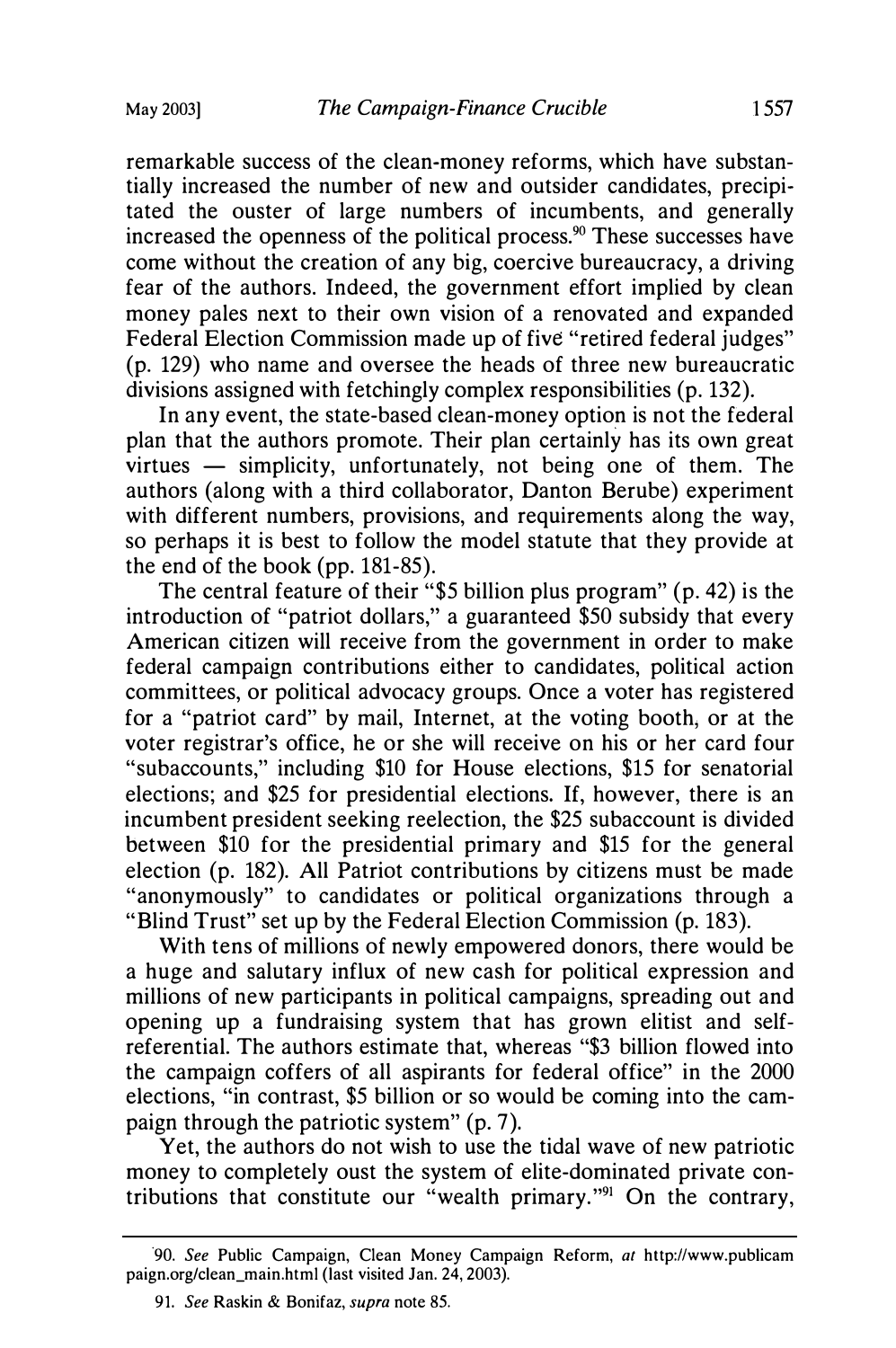remarkable success of the clean-money reforms, which have substantially increased the number of new and outsider candidates, precipitated the ouster of large numbers of incumbents, and generally increased the openness of the political process.90 These successes have come without the creation of any big, coercive bureaucracy, a driving fear of the authors. Indeed, the government effort implied by clean money pales next to their own vision of a renovated and expanded Federal Election Commission made up of five "retired federal judges" (p. 129) who name and oversee the heads of three new bureaucratic divisions assigned with fetchingly complex responsibilities (p. 132).

In any event, the state-based clean-money option is not the federal plan that the authors promote. Their plan certainly has its own great  $virtues$   $\longrightarrow$  simplicity, unfortunately, not being one of them. The authors (along with a third collaborator, Danton Berube) experiment with different numbers, provisions, and requirements along the way, so perhaps it is best to follow the model statute that they provide at the end of the book (pp. 181-85).

The central feature of their "\$5 billion plus program" (p. 42) is the introduction of "patriot dollars,'' a guaranteed \$50 subsidy that every American citizen will receive from the government in order to make federal campaign contributions either to candidates, political action committees, or political advocacy groups. Once a voter has registered for a "patriot card" by mail, Internet, at the voting booth, or at the voter registrar's office, he or she will receive on his or her card four "subaccounts," including \$10 for House elections, \$15 for senatorial elections; and \$25 for presidential elections. If, however, there is an incumbent president seeking reelection, the \$25 subaccount is divided between \$10 for the presidential primary and \$15 for the general election (p. 182). All Patriot contributions by citizens must be made "anonymously" to candidates or political organizations through a "Blind Trust" set up by the Federal Election Commission (p. 183).

With tens of millions of newly empowered donors, there would be a huge and salutary influx of new cash for political expression and millions of new participants in political campaigns, spreading out and opening up a fundraising system that has grown elitist and selfreferential. The authors estimate that, whereas "\$3 billion flowed into the campaign coffers of all aspirants for federal office" in the 2000 elections, "in contrast, \$5 billion or so would be coming into the campaign through the patriotic system" (p. 7).

Yet, the authors do not wish to use the tidal wave of new patriotic money to completely oust the system of elite-dominated private contributions that constitute our "wealth primary."91 On the contrary,

<sup>·90.</sup> See Public Campaign, Clean Money Campaign Reform, at http://www.publicam paign.org/clean\_main.html (last visited Jan. 24, 2003).

<sup>91.</sup> See Raskin & Bonifaz, supra note 85.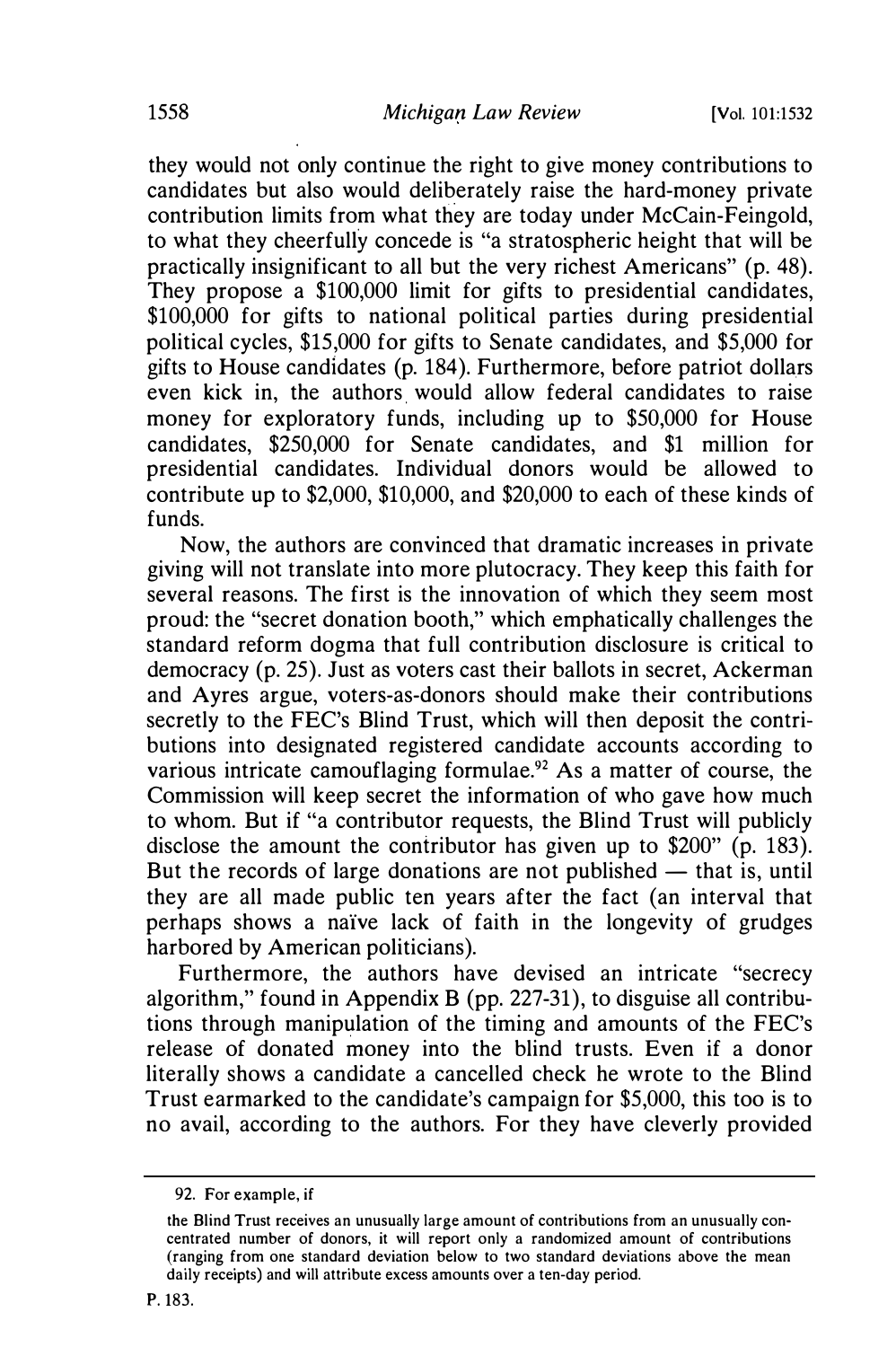they would not only continue the right to give money contributions to candidates but also would deliberately raise the hard-money private contribution limits from what they are today under McCain-Feingold, to what they cheerfully concede is "a stratospheric height that will be practically insignificant to all but the very richest Americans" (p. 48). They propose a \$100,000 limit for gifts to presidential candidates, \$100,000 for gifts to national political parties during presidential political cycles, \$15,000 for gifts to Senate candidates, and \$5,000 for gifts to House candidates  $(p. 184)$ . Furthermore, before patriot dollars even kick in, the authors would allow federal candidates to raise money for exploratory funds, including up to \$50,000 for House candidates, \$250,000 for Senate candidates, and \$1 million for presidential candidates. Individual donors would be allowed to contribute up to \$2,000, \$10,000, and \$20,000 to each of these kinds of funds.

Now, the authors are convinced that dramatic increases in private giving will not translate into more plutocracy. They keep this faith for several reasons. The first is the innovation of which they seem most proud: the "secret donation booth," which emphatically challenges the standard reform dogma that full contribution disclosure is critical to democracy (p. 25). Just as voters cast their ballots in secret, Ackerman and Ayres argue, voters-as-donors should make their contributions secretly to the FEC's Blind Trust, which will then deposit the contributions into designated registered candidate accounts according to various intricate camouflaging formulae.<sup>92</sup> As a matter of course, the Commission will keep secret the information of who gave how much to whom. But if "a contributor requests, the Blind Trust will publicly disclose the amount the contributor has given up to  $$200"$  (p. 183). But the records of large donations are not published  $-$  that is, until they are all made public ten years after the fact (an interval that perhaps shows a naive lack of faith in the longevity of grudges harbored by American politicians).

Furthermore, the authors have devised an intricate "secrecy algorithm," found in Appendix B (pp. 227-31), to disguise all contributions through manipulation of the timing and amounts of the FEC's release of donated money into the blind trusts. Even if a donor literally shows a candidate a cancelled check he wrote to the Blind Trust earmarked to the candidate's campaign for \$5,000, this too is to no avail, according to the authors. For they have cleverly provided

<sup>92.</sup> For example, if

the Blind Trust receives an unusually large amount of contributions from an unusually concentrated number of donors, it will report only a randomized amount of contributions (ranging from one standard deviation below to two standard deviations above the mean daily receipts) and will attribute excess amounts over a ten-day period.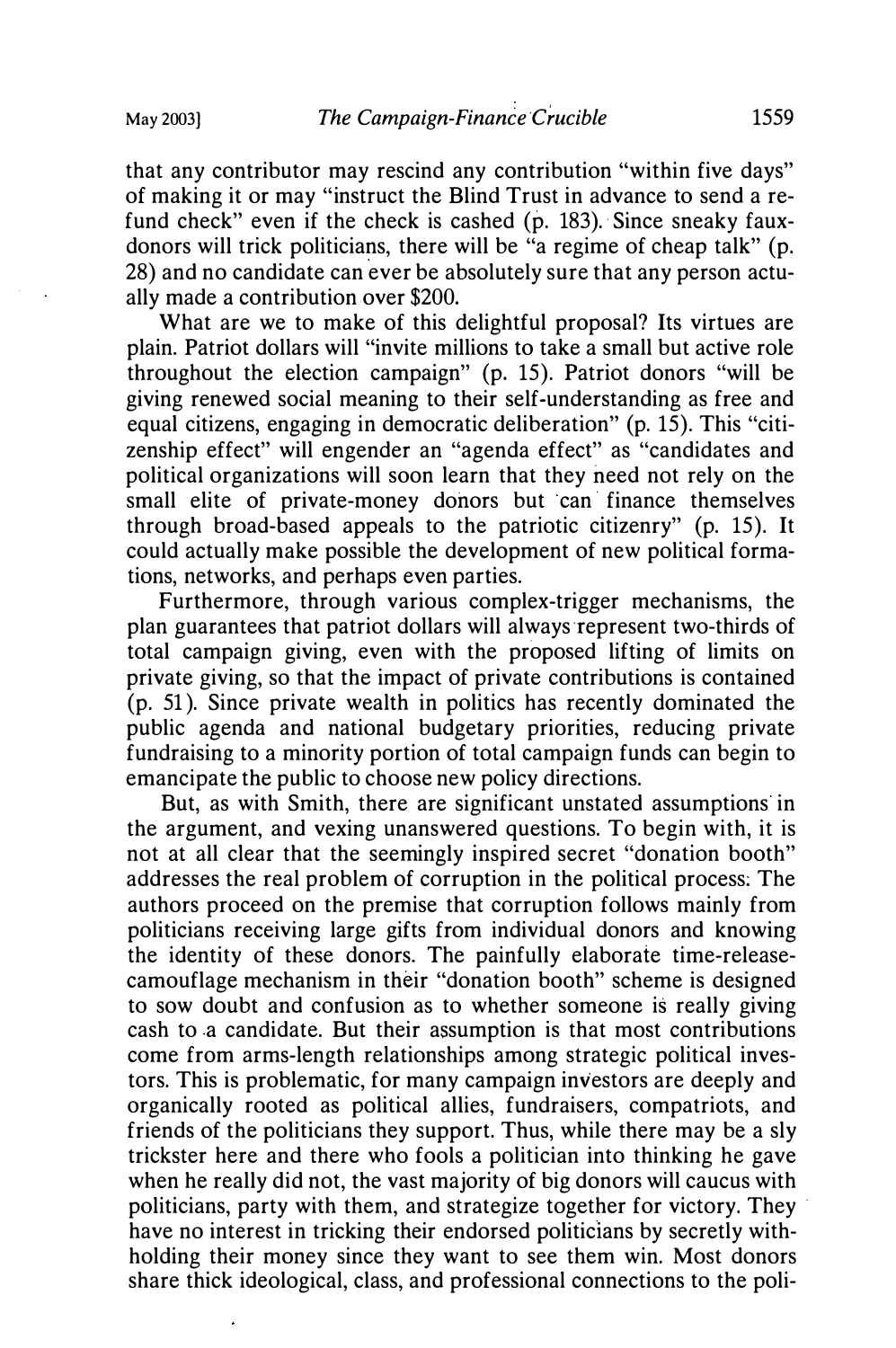that any contributor may rescind any contribution "within five days" of making it or may "instruct the Blind Trust in advance to send a refund check" even if the check is cashed (p. 183). Since sneaky fauxdonors will trick politicians, there will be "a regime of cheap talk" (p. 28) and no candidate can ever be absolutely sure that any person actually made a contribution over \$200.

What are we to make of this delightful proposal? Its virtues are plain. Patriot dollars will "invite millions to take a small but active role throughout the election campaign" (p. 15). Patriot donors "will be giving renewed social meaning to their self-understanding as free and equal citizens, engaging in democratic deliberation" (p. 15). This "citizenship effect" will engender an "agenda effect" as "candidates and political organizations will soon learn that they need not rely on the small elite of private-money donors but can finance themselves through broad-based appeals to the patriotic citizenry" (p. 15). It could actually make possible the development of new political formations, networks, and perhaps even parties.

Furthermore, through various complex-trigger mechanisms, the plan guarantees that patriot dollars will always represent two-thirds of total campaign giving, even with the proposed lifting of limits on private giving, so that the impact of private contributions is contained (p. 51 ). Since private wealth in politics has recently dominated the public agenda and national budgetary priorities, reducing private fundraising to a minority portion of total campaign funds can begin to emancipate the public to choose new policy directions.

But, as with Smith, there are significant unstated assumptions in the argument, and vexing unanswered questions. To begin with, it is not at all clear that the seemingly inspired secret "donation booth" addresses the real problem of corruption in the political process: The authors proceed on the premise that corruption follows mainly from politicians receiving large gifts from individual donors and knowing the identity of these donors. The painfully elaborate time-releasecamouflage mechanism in their "donation booth" scheme is designed to sow doubt and confusion as to whether someone is really giving cash to a candidate. But their assumption is that most contributions come from arms-length relationships among strategic political investors. This is problematic, for many campaign investors are deeply and organically rooted as political allies, fundraisers, compatriots, and friends of the politicians they support. Thus, while there may be a sly trickster here and there who fools a politician into thinking he gave when he really did not, the vast majority of big donors will caucus with politicians, party with them, and strategize together for victory. They · have no interest in tricking their endorsed politicians by secretly withholding their money since they want to see them win. Most donors share thick ideological, class, and professional connections to the poli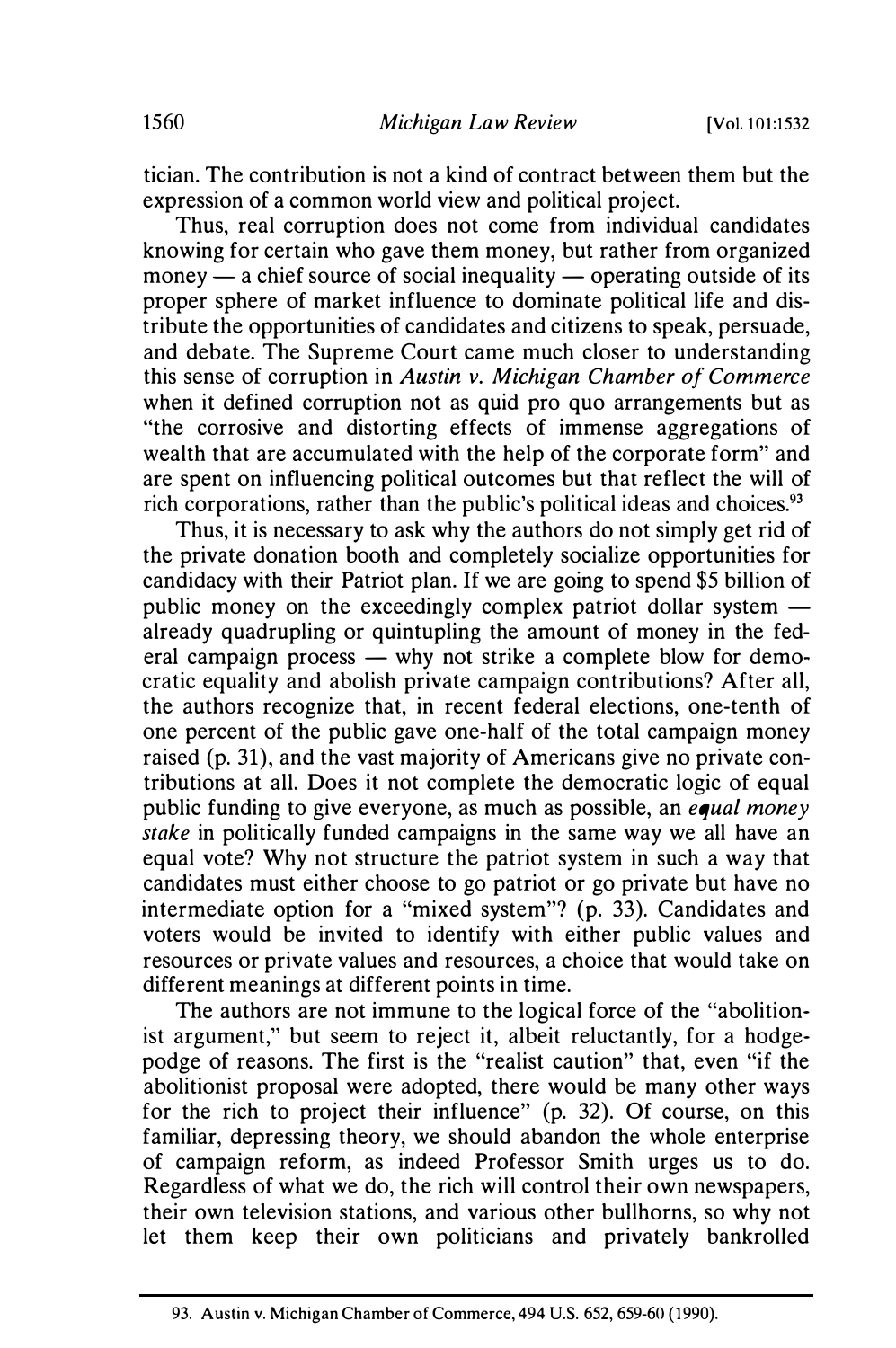tician. The contribution is not a kind of contract between them but the expression of a common world view and political project.

Thus, real corruption does not come from individual candidates knowing for certain who gave them money, but rather from organized money  $\overline{-}$  a chief source of social inequality  $\overline{-}$  operating outside of its proper sphere of market influence to dominate political life and distribute the opportunities of candidates and citizens to speak, persuade, and debate. The Supreme Court came much closer to understanding this sense of corruption in Austin v. Michigan Chamber of Commerce when it defined corruption not as quid pro quo arrangements but as "the corrosive and distorting effects of immense aggregations of wealth that are accumulated with the help of the corporate form" and are spent on influencing political outcomes but that reflect the will of rich corporations, rather than the public's political ideas and choices.<sup>93</sup>

Thus, it is necessary to ask why the authors do not simply get rid of the private donation booth and completely socialize opportunities for candidacy with their Patriot plan. If we are going to spend \$5 billion of public money on the exceedingly complex patriot dollar system  $$ already quadrupling or quintupling the amount of money in the fed $eral$  campaign process  $-$  why not strike a complete blow for democratic equality and abolish private campaign contributions? After all, the authors recognize that, in recent federal elections, one-tenth of one percent of the public gave one-half of the total campaign money raised (p. 31), and the vast majority of Americans give no private contributions at all. Does it not complete the democratic logic of equal public funding to give everyone, as much as possible, an equal money stake in politically funded campaigns in the same way we all have an equal vote? Why not structure the patriot system in such a way that candidates must either choose to go patriot or go private but have no intermediate option for a "mixed system"?  $(p, 33)$ . Candidates and voters would be invited to identify with either public values and resources or private values and resources, a choice that would take on different meanings at different points in time.

The authors are not immune to the logical force of the "abolitionist argument," but seem to reject it, albeit reluctantly, for a hodgepodge of reasons. The first is the "realist caution" that, even "if the abolitionist proposal were adopted, there would be many other ways for the rich to project their influence" (p. 32). Of course, on this familiar, depressing theory, we should abandon the whole enterprise of campaign reform, as indeed Professor Smith urges us to do. Regardless of what we do, the rich will control their own newspapers, their own television stations, and various other bullhorns, so why not let them keep their own politicians and privately bankrolled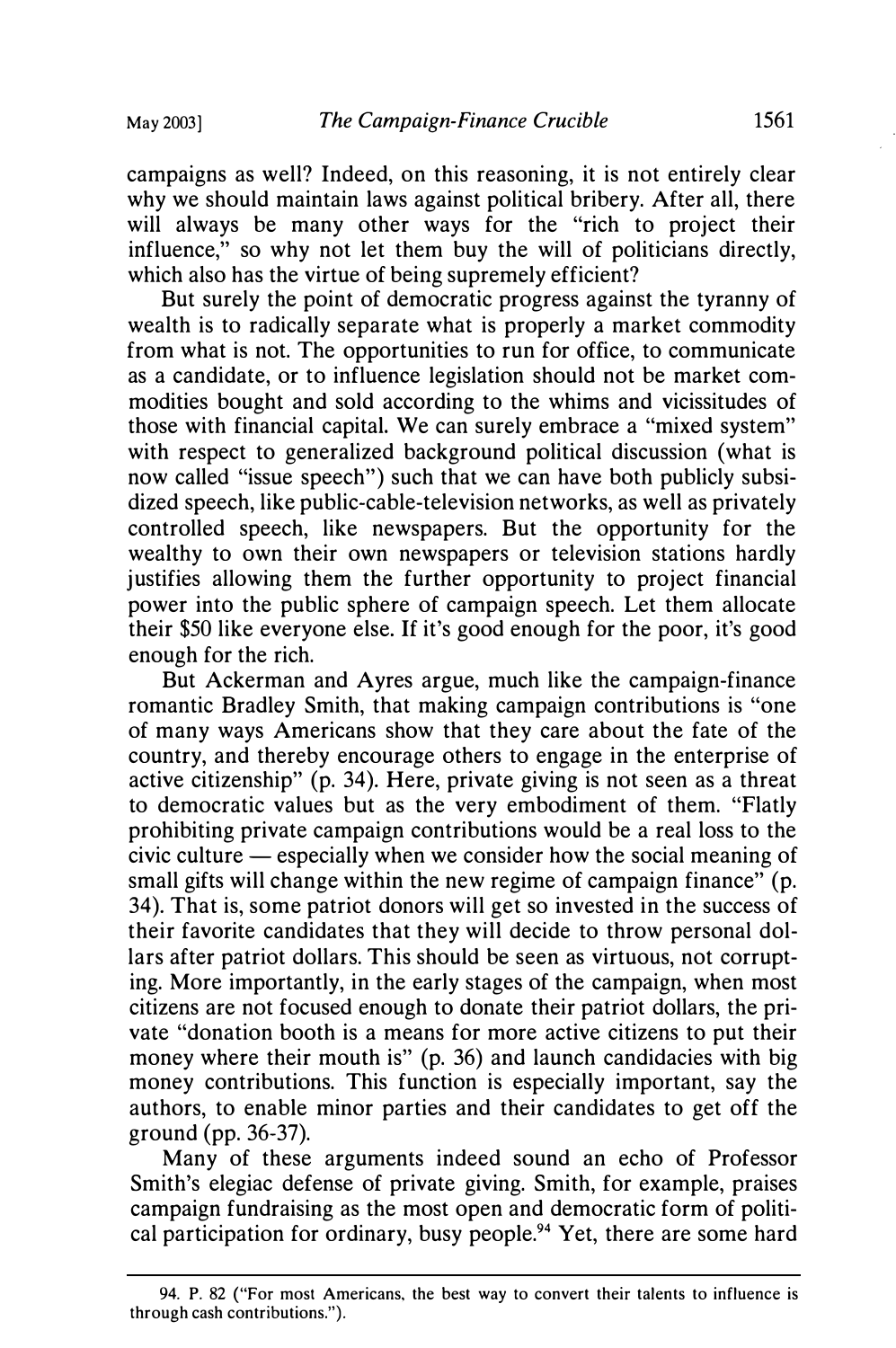campaigns as well? Indeed, on this reasoning, it is not entirely clear why we should maintain laws against political bribery. After all, there will always be many other ways for the "rich to project their influence," so why not let them buy the will of politicians directly, which also has the virtue of being supremely efficient?

But surely the point of democratic progress against the tyranny of wealth is to radically separate what is properly a market commodity from what is not. The opportunities to run for office, to communicate as a candidate, or to influence legislation should not be market commodities bought and sold according to the whims and vicissitudes of those with financial capital. We can surely embrace a "mixed system" with respect to generalized background political discussion (what is now called "issue speech") such that we can have both publicly subsidized speech, like public-cable-television networks, as well as privately controlled speech, like newspapers. But the opportunity for the wealthy to own their own newspapers or television stations hardly justifies allowing them the further opportunity to project financial power into the public sphere of campaign speech. Let them allocate their \$50 like everyone else. If it's good enough for the poor, it's good enough for the rich.

But Ackerman and Ayres argue, much like the campaign-finance romantic Bradley Smith, that making campaign contributions is "one of many ways Americans show that they care about the fate of the country, and thereby encourage others to engage in the enterprise of active citizenship" (p. 34). Here, private giving is not seen as a threat to democratic values but as the very embodiment of them. "Flatly prohibiting private campaign contributions would be a real loss to the  $c$  civic culture  $-$  especially when we consider how the social meaning of small gifts will change within the new regime of campaign finance" (p. 34). That is, some patriot donors will get so invested in the success of their favorite candidates that they will decide to throw personal dollars after patriot dollars. This should be seen as virtuous, not corrupting. More importantly, in the early stages of the campaign, when most citizens are not focused enough to donate their patriot dollars, the private "donation booth is a means for more active citizens to put their money where their mouth is" (p. 36) and launch candidacies with big money contributions. This function is especially important, say the authors, to enable minor parties and their candidates to get off the ground (pp. 36-37).

Many of these arguments indeed sound an echo of Professor Smith's elegiac defense of private giving. Smith, for example, praises campaign fundraising as the most open and democratic form of political participation for ordinary, busy people.<sup>94</sup> Yet, there are some hard

<sup>94.</sup> P. 82 ("For most Americans, the best way to convert their talents to influence is through cash contributions.").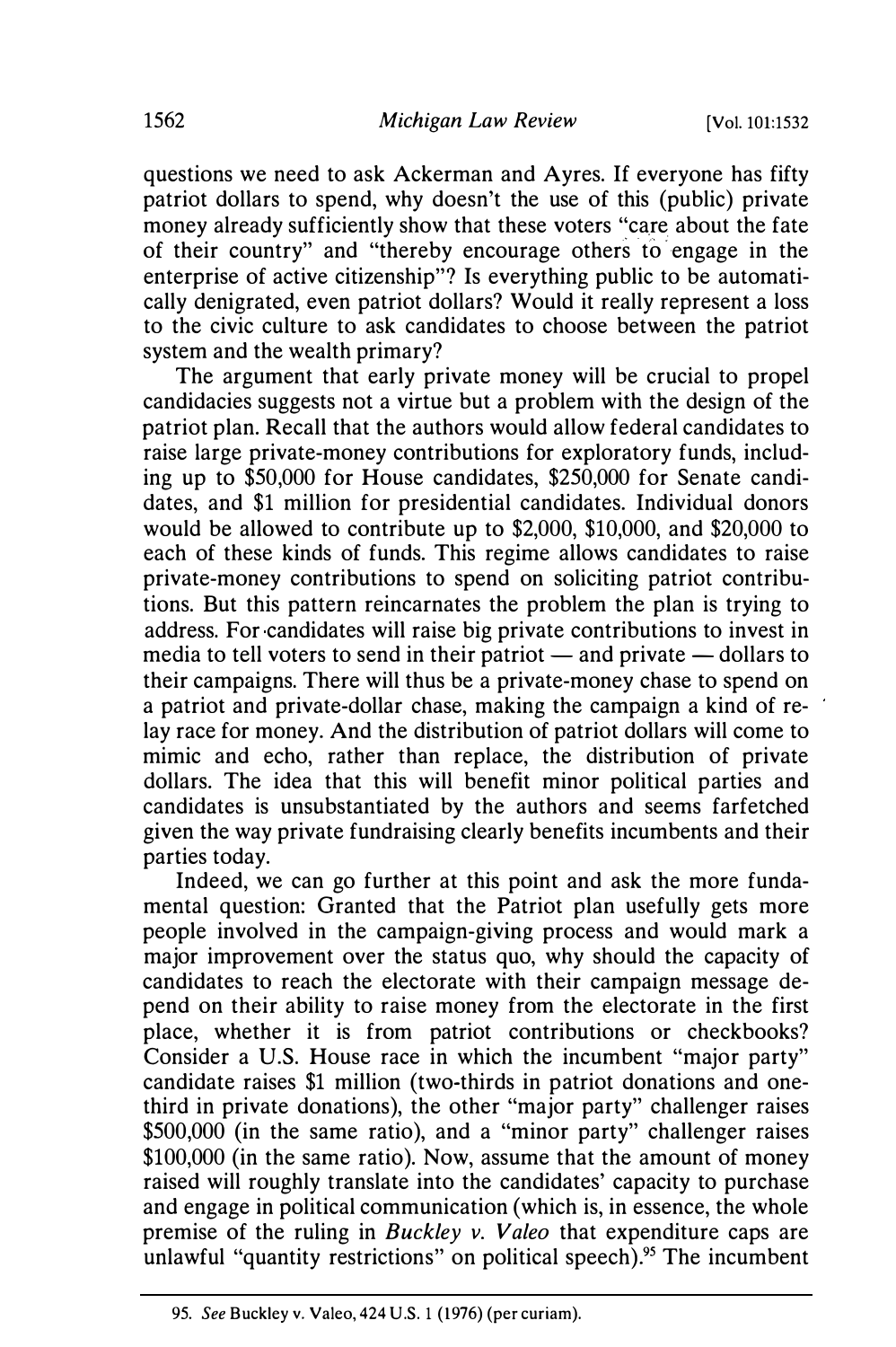questions we need to ask Ackerman and Ayres. If everyone has fifty patriot dollars to spend, why doesn't the use of this (public) private money already sufficiently show that these voters "care about the fate of their country" and "thereby encourage others to engage in the enterprise of active citizenship"? Is everything public to be automatically denigrated, even patriot dollars? Would it really represent a loss to the civic culture to ask candidates to choose between the patriot system and the wealth primary?

The argument that early private money will be crucial to propel candidacies suggests not a virtue but a problem with the design of the patriot plan. Recall that the authors would allow federal candidates to raise large private-money contributions for exploratory funds, including up to \$50,000 for House candidates, \$250,000 for Senate candidates, and \$1 million for presidential candidates. Individual donors would be allowed to contribute up to \$2,000, \$10,000, and \$20,000 to each of these kinds of funds. This regime allows candidates to raise private-money contributions to spend on soliciting patriot contributions. But this pattern reincarnates the problem the plan is trying to address. For candidates will raise big private contributions to invest in media to tell voters to send in their patriot  $-$  and private  $-$  dollars to their campaigns. There will thus be a private-money chase to spend on a patriot and private-dollar chase, making the campaign a kind of relay race for money. And the distribution of patriot dollars will come to mimic and echo, rather than replace, the distribution of private dollars. The idea that this will benefit minor political parties and candidates is unsubstantiated by the authors and seems farfetched given the way private fundraising clearly benefits incumbents and their parties today.

Indeed, we can go further at this point and ask the more fundamental question: Granted that the Patriot plan usefully gets more people involved in the campaign-giving process and would mark a major improvement over the status quo, why should the capacity of candidates to reach the electorate with their campaign message depend on their ability to raise money from the electorate in the first place, whether it is from patriot contributions or checkbooks? Consider a U.S. House race in which the incumbent "major party" candidate raises \$1 million (two-thirds in patriot donations and onethird in private donations), the other "major party" challenger raises \$500,000 (in the same ratio), and a "minor party" challenger raises \$100,000 (in the same ratio). Now, assume that the amount of money raised will roughly translate into the candidates' capacity to purchase and engage in political communication (which is, in essence, the whole premise of the ruling in Buckley v. Valeo that expenditure caps are unlawful "quantity restrictions" on political speech).<sup>95</sup> The incumbent

<sup>95.</sup> See Buckley v. Valeo, 424 U.S. 1 (1976) (per curiam).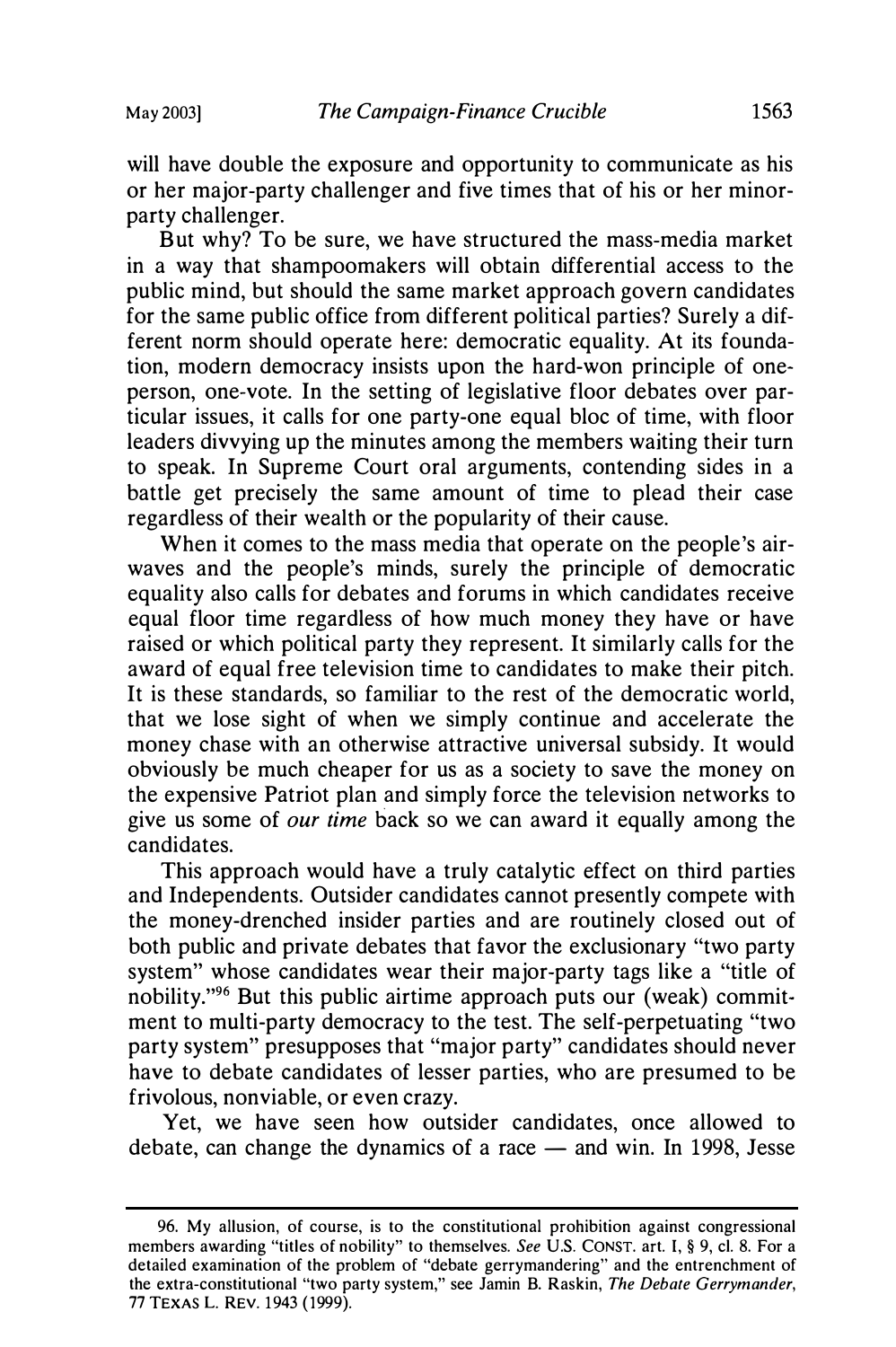will have double the exposure and opportunity to communicate as his or her major-party challenger and five times that of his or her minorparty challenger.

But why? To be sure, we have structured the mass-media market in a way that shampoomakers will obtain differential access to the public mind, but should the same market approach govern candidates for the same public office from different political parties? Surely a different norm should operate here: democratic equality. At its foundation, modern democracy insists upon the hard-won principle of oneperson, one-vote. In the setting of legislative floor debates over particular issues, it calls for one party-one equal bloc of time, with floor leaders divvying up the minutes among the members waiting their turn to speak. In Supreme Court oral arguments, contending sides in a battle get precisely the same amount of time to plead their case regardless of their wealth or the popularity of their cause.

When it comes to the mass media that operate on the people's airwaves and the people's minds, surely the principle of democratic equality also calls for debates and forums in which candidates receive equal floor time regardless of how much money they have or have raised or which political party they represent. It similarly calls for the award of equal free television time to candidates to make their pitch. It is these standards, so familiar to the rest of the democratic world, that we lose sight of when we simply continue and accelerate the money chase with an otherwise attractive universal subsidy. It would obviously be much cheaper for us as a society to save the money on the expensive Patriot plan and simply force the television networks to give us some of our time back so we can award it equally among the candidates.

This approach would have a truly catalytic effect on third parties and Independents. Outsider candidates cannot presently compete with the money-drenched insider parties and are routinely closed out of both public and private debates that favor the exclusionary "two party system" whose candidates wear their major-party tags like a "title of nobility."96 But this public airtime approach puts our (weak) commitment to multi-party democracy to the test. The self-perpetuating "two party system" presupposes that "major party" candidates should never have to debate candidates of lesser parties, who are presumed to be frivolous, nonviable, or even crazy.

Yet, we have seen how outsider candidates, once allowed to debate, can change the dynamics of a race  $-$  and win. In 1998, Jesse

<sup>96.</sup> My allusion, of course, is to the constitutional prohibition against congressional members awarding "titles of nobility" to themselves. See U.S. CONST. art. I, § 9, cl. 8. For a detailed examination of the problem of "debate gerrymandering" and the entrenchment of the extra-constitutional "two party system," see Jamin B. Raskin, The Debate Gerrymander, 77 TEXAS L. REV. 1943 (1999).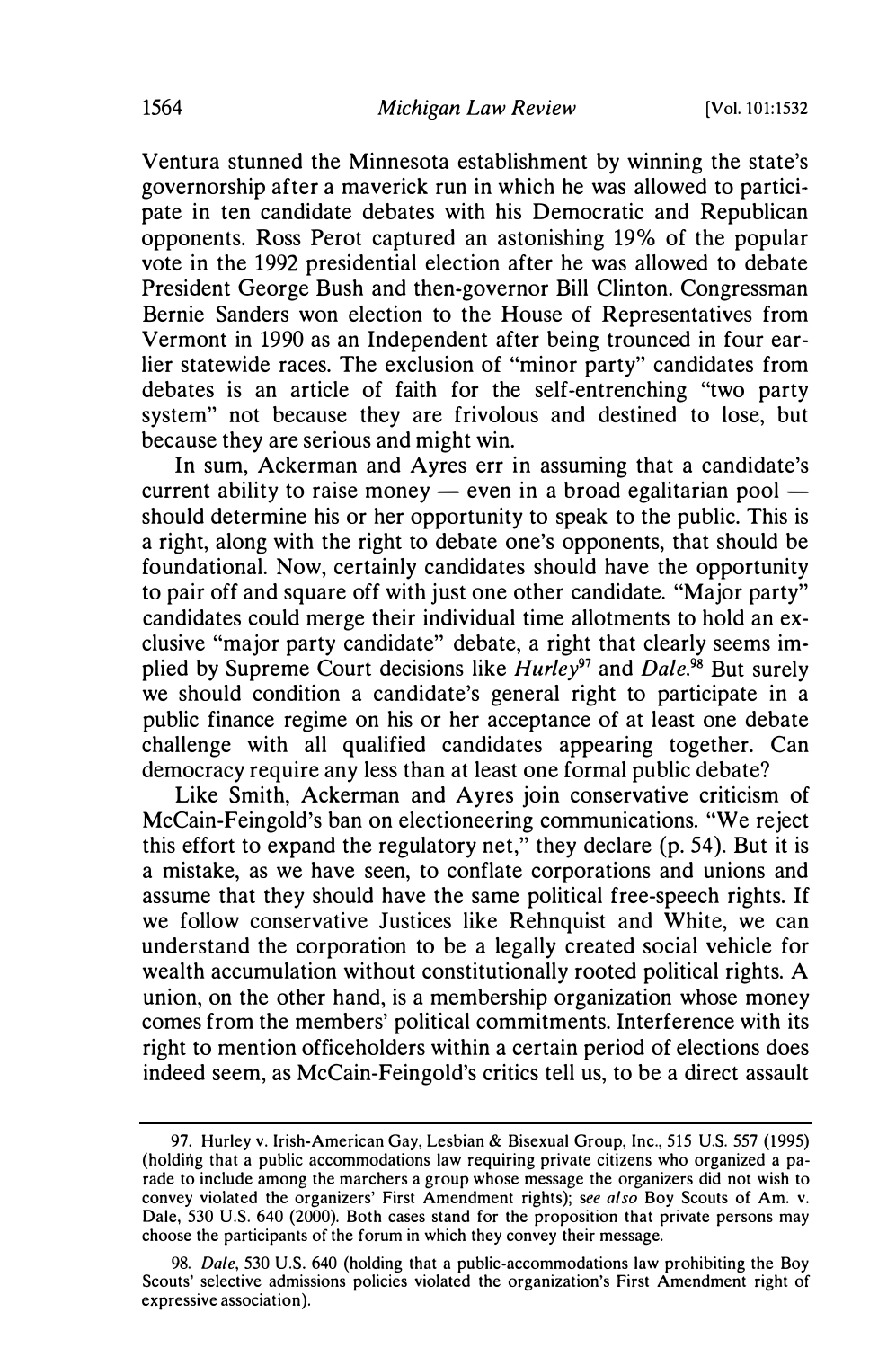Ventura stunned the Minnesota establishment by winning the state's governorship after a maverick run in which he was allowed to participate in ten candidate debates with his Democratic and Republican opponents. Ross Perot captured an astonishing 19% of the popular vote in the 1992 presidential election after he was allowed to debate President George Bush and then-governor Bill Clinton. Congressman Bernie Sanders won election to the House of Representatives from Vermont in 1990 as an Independent after being trounced in four earlier statewide races. The exclusion of "minor party" candidates from debates is an article of faith for the self-entrenching "two party system" not because they are frivolous and destined to lose, but because they are serious and might win.

In sum, Ackerman and Ayres err in assuming that a candidate's current ability to raise money  $-$  even in a broad egalitarian pool  $$ should determine his or her opportunity to speak to the public. This is a right, along with the right to debate one's opponents, that should be foundational. Now, certainly candidates should have the opportunity to pair off and square off with just one other candidate. "Major party" candidates could merge their individual time allotments to hold an exclusive "major party candidate" debate, a right that clearly seems implied by Supreme Court decisions like  $Hurley^{97}$  and  $Dale^{98}$  But surely we should condition a candidate's general right to participate in a public finance regime on his or her acceptance of at least one debate challenge with all qualified candidates appearing together. Can democracy require any less than at least one formal public debate?

Like Smith, Ackerman and Ayres join conservative criticism of McCain-Feingold's ban on electioneering communications. "We reject this effort to expand the regulatory net," they declare (p. 54). But it is a mistake, as we have seen, to conflate corporations and unions and assume that they should have the same political free-speech rights. If we follow conservative Justices like Rehnquist and White, we can understand the corporation to be a legally created social vehicle for wealth accumulation without constitutionally rooted political rights. A union, on the other hand, is a membership organization whose money comes from the members' political commitments. Interference with its right to mention officeholders within a certain period of elections does indeed seem, as McCain-Feingold's critics tell us, to be a direct assault

<sup>97.</sup> Hurley v. Irish-American Gay, Lesbian & Bisexual Group, Inc., 515 U.S. 557 (1995) (holding that a public accommodations law requiring private citizens who organized a parade to include among the marchers a group whose message the organizers did not wish to convey violated the organizers' First Amendment rights); see also Boy Scouts of Am. v. Dale, 530 U.S. 640 (2000). Both cases stand for the proposition that private persons may choose the participants of the forum in which they convey their message.

<sup>98.</sup> Dale, 530 U.S. 640 (holding that a public-accommodations law prohibiting the Boy Scouts' selective admissions policies violated the organization's First Amendment right of expressive association).